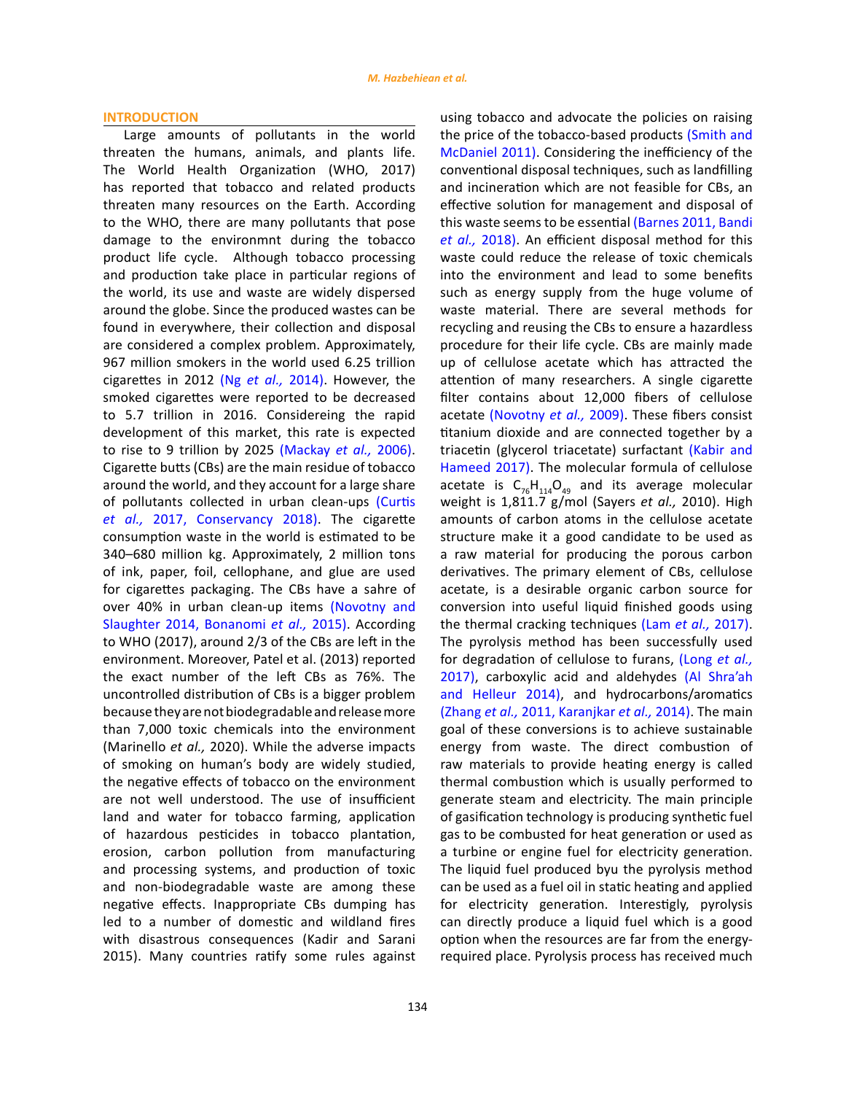#### **INTRODUCTION**

Large amounts of pollutants in the world threaten the humans, animals, and plants life. The World Health Organization (WHO, 2017) has reported that tobacco and related products threaten many resources on the Earth. According to the WHO, there are many pollutants that pose damage to the environmnt during the tobacco product life cycle. Although tobacco processing and production take place in particular regions of the world, its use and waste are widely dispersed around the globe. Since the produced wastes can be found in everywhere, their collection and disposal are considered a complex problem. Approximately, 967 million smokers in the world used 6.25 trillion cigarettes in 2012 (Ng *et al.,* [2014\).](#page-13-0) However, the smoked cigarettes were reported to be decreased to 5.7 trillion in 2016. Considereing the rapid development of this market, this rate is expected to rise to 9 trillion by 2025 [\(Mackay](#page-13-0) *et al.,* 2006). Cigarette butts (CBs) are the main residue of tobacco around the world, and they account for a large share of pollutants collected in urban clean-ups ([Curtis](#page-13-0)  *et al.,* [2017, Conservancy 2018\)](#page-13-0). The cigarette consumption waste in the world is estimated to be 340–680 million kg. Approximately, 2 million tons of ink, paper, foil, cellophane, and glue are used for cigarettes packaging. The CBs have a sahre of over 40% in urban clean-up items [\(Novotny and](#page-13-0)  [Slaughter 2014, Bonanomi](#page-13-0) *et al.,* 2015). According to WHO (2017), around 2/3 of the CBs are left in the environment. Moreover, Patel et al. (2013) reported the exact number of the left CBs as 76%. The uncontrolled distribution of CBs is a bigger problem because they are not biodegradable and release more than 7,000 toxic chemicals into the environment (Marinello *et al.,* 2020). While the adverse impacts of smoking on human's body are widely studied, the negative effects of tobacco on the environment are not well understood. The use of insufficient land and water for tobacco farming, application of hazardous pesticides in tobacco plantation, erosion, carbon pollution from manufacturing and processing systems, and production of toxic and non-biodegradable waste are among these negative effects. Inappropriate CBs dumping has led to a number of domestic and wildland fires with disastrous consequences (Kadir and Sarani 2015). Many countries ratify some rules against using tobacco and advocate the policies on raising the price of the tobacco-based products [\(Smith and](#page-13-0) [McDaniel 2011\)](#page-13-0). Considering the inefficiency of the conventional disposal techniques, such as landfilling and incineration which are not feasible for CBs, an effective solution for management and disposal of this waste seems to be essential [\(Barnes 2011, Bandi](#page-13-0) *et al.,* [2018\)](#page-13-0). An efficient disposal method for this waste could reduce the release of toxic chemicals into the environment and lead to some benefits such as energy supply from the huge volume of waste material. There are several methods for recycling and reusing the CBs to ensure a hazardless procedure for their life cycle. CBs are mainly made up of cellulose acetate which has attracted the attention of many researchers. A single cigarette filter contains about 12,000 fibers of cellulose acetate [\(Novotny](#page-13-0) *et al.,* 2009). These fibers consist titanium dioxide and are connected together by a triacetin (glycerol triacetate) surfactant [\(Kabir and](#page-13-0) [Hameed 2017\)](#page-13-0). The molecular formula of cellulose acetate is  $C_{76}H_{114}O_{49}$  and its average molecular weight is 1,811.7 g/mol (Sayers *et al.,* 2010). High amounts of carbon atoms in the cellulose acetate structure make it a good candidate to be used as a raw material for producing the porous carbon derivatives. The primary element of CBs, cellulose acetate, is a desirable organic carbon source for conversion into useful liquid finished goods using the thermal cracking techniques (Lam *et al.,* [2017\)](#page-13-0). The pyrolysis method has been successfully used for degradation of cellulose to furans, [\(Long](#page-13-0) *et al.,* [2017\)](#page-13-0), carboxylic acid and aldehydes [\(Al Shra'ah](#page-13-0) [and Helleur 2014\)](#page-13-0), and hydrocarbons/aromatics (Zhang *et al.,* [2011, Karanjkar](#page-13-0) *et al.,* 2014). The main goal of these conversions is to achieve sustainable energy from waste. The direct combustion of raw materials to provide heating energy is called thermal combustion which is usually performed to generate steam and electricity. The main principle of gasification technology is producing synthetic fuel gas to be combusted for heat generation or used as a turbine or engine fuel for electricity generation. The liquid fuel produced byu the pyrolysis method can be used as a fuel oil in static heating and applied for electricity generation. Interestigly, pyrolysis can directly produce a liquid fuel which is a good option when the resources are far from the energyrequired place. Pyrolysis process has received much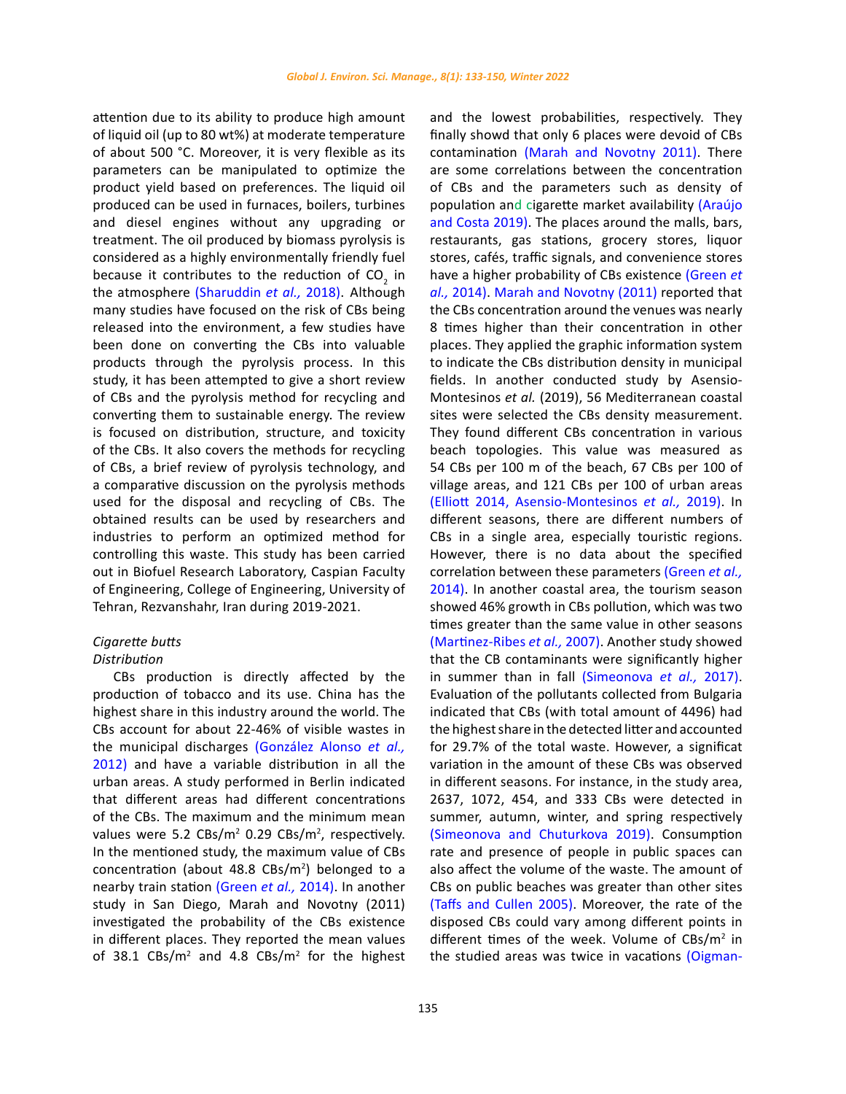attention due to its ability to produce high amount of liquid oil (up to 80 wt%) at moderate temperature of about 500 °C. Moreover, it is very flexible as its parameters can be manipulated to optimize the product yield based on preferences. The liquid oil produced can be used in furnaces, boilers, turbines and diesel engines without any upgrading or treatment. The oil produced by biomass pyrolysis is considered as a highly environmentally friendly fuel because it contributes to the reduction of  $CO<sub>2</sub>$  in the atmosphere [\(Sharuddin](#page-13-0) *et al.,* 2018). Although many studies have focused on the risk of CBs being released into the environment, a few studies have been done on converting the CBs into valuable products through the pyrolysis process. In this study, it has been attempted to give a short review of CBs and the pyrolysis method for recycling and converting them to sustainable energy. The review is focused on distribution, structure, and toxicity of the CBs. It also covers the methods for recycling of CBs, a brief review of pyrolysis technology, and a comparative discussion on the pyrolysis methods used for the disposal and recycling of CBs. The obtained results can be used by researchers and industries to perform an optimized method for controlling this waste. This study has been carried out in Biofuel Research Laboratory, Caspian Faculty of Engineering, College of Engineering, University of Tehran, Rezvanshahr, Iran during 2019-2021.

# *Cigarette butts*

# *Distribution*

CBs production is directly affected by the production of tobacco and its use. China has the highest share in this industry around the world. The CBs account for about 22-46% of visible wastes in the municipal discharges [\(González Alonso](#page-13-0) *et al.,* [2012\)](#page-13-0) and have a variable distribution in all the urban areas. A study performed in Berlin indicated that different areas had different concentrations of the CBs. The maximum and the minimum mean values were 5.2  $\text{CBs/m}^2$  0.29  $\text{CBs/m}^2$ , respectively. In the mentioned study, the maximum value of CBs concentration (about  $48.8$  CBs/m<sup>2</sup>) belonged to a nearby train station [\(Green](#page-13-0) *et al.,* 2014). In another study in San Diego, Marah and Novotny (2011) investigated the probability of the CBs existence in different places. They reported the mean values of 38.1  $\text{CBs/m}^2$  and 4.8  $\text{CBs/m}^2$  for the highest finally showd that only 6 places were devoid of CBs contamination [\(Marah and Novotny 2011\)](#page-13-0). There are some correlations between the concentration of CBs and the parameters such as density of population and cigarette market availability [\(Araújo](#page-13-0) [and Costa 2019\)](#page-13-0). The places around the malls, bars, restaurants, gas stations, grocery stores, liquor stores, cafés, traffic signals, and convenience stores have a higher probability of CBs existence [\(Green](#page-13-0) *et al.,* 2014). [Marah and Novotny \(2011\)](#page-13-0) reported that the CBs concentration around the venues was nearly 8 times higher than their concentration in other places. They applied the graphic information system to indicate the CBs distribution density in municipal fields. In another conducted study by Asensio-Montesinos *et al.* (2019), 56 Mediterranean coastal sites were selected the CBs density measurement. They found different CBs concentration in various beach topologies. This value was measured as 54 CBs per 100 m of the beach, 67 CBs per 100 of village areas, and 121 CBs per 100 of urban areas [\(Elliott 2014, Asensio-Montesinos](#page-13-0) *et al.,* 2019). In different seasons, there are different numbers of CBs in a single area, especially touristic regions. However, there is no data about the specified correlation between these parameters [\(Green](#page-13-0) *et al.,* [2014\)](#page-13-0). In another coastal area, the tourism season showed 46% growth in CBs pollution, which was two times greater than the same value in other seasons [\(Martinez-Ribes](#page-13-0) *et al.,* 2007). Another study showed that the CB contaminants were significantly higher in summer than in fall [\(Simeonova](#page-13-0) *et al.,* 2017). Evaluation of the pollutants collected from Bulgaria indicated that CBs (with total amount of 4496) had the highest share in the detected litter and accounted for 29.7% of the total waste. However, a significat variation in the amount of these CBs was observed in different seasons. For instance, in the study area, 2637, 1072, 454, and 333 CBs were detected in summer, autumn, winter, and spring respectively [\(Simeonova and Chuturkova 2019\)](#page-13-0). Consumption rate and presence of people in public spaces can also affect the volume of the waste. The amount of CBs on public beaches was greater than other sites [\(Taffs and Cullen 2005\).](#page-13-0) Moreover, the rate of the disposed CBs could vary among different points in different times of the week. Volume of  $CBs/m^2$  in the studied areas was twice in vacations [\(Oigman-](#page-13-0)

and the lowest probabilities, respectively. They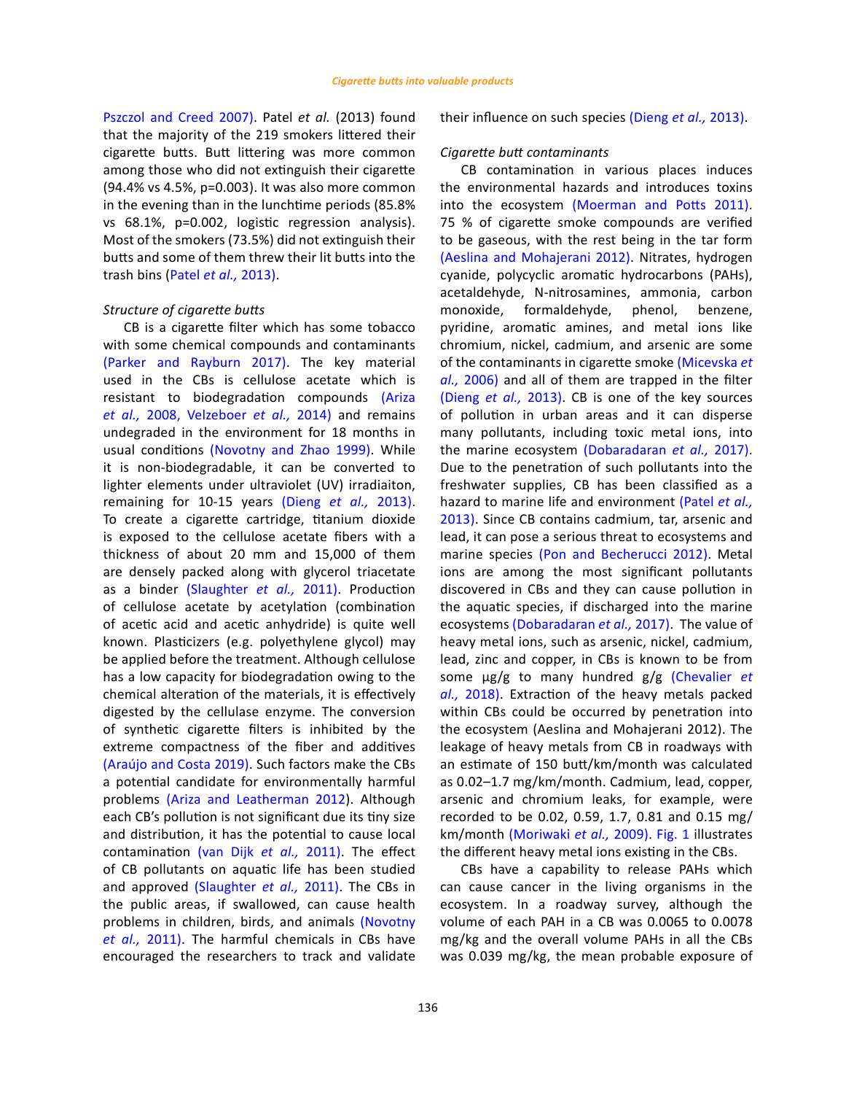[Pszczol and Creed 2007\)](#page-13-0). Patel *et al.* (2013) found that the majority of the 219 smokers littered their cigarette butts. Butt littering was more common among those who did not extinguish their cigarette (94.4% vs 4.5%, p=0.003). It was also more common in the evening than in the lunchtime periods (85.8% vs 68.1%, p=0.002, logistic regression analysis). Most of the smokers (73.5%) did not extinguish their butts and some of them threw their lit butts into the trash bins (Patel *et al.,* [2013\)](#page-13-0).

## *Structure of cigarette butts*

CB is a cigarette filter which has some tobacco with some chemical compounds and contaminants [\(Parker and Rayburn 2017\).](#page-13-0) The key material used in the CBs is cellulose acetate which is resistant to biodegradation compounds [\(Ariza](#page-13-0)  *et al.,* [2008, Velzeboer](#page-13-0) *et al.,* 2014) and remains undegraded in the environment for 18 months in usual conditions [\(Novotny and Zhao 1999\)](#page-13-0). While it is non-biodegradable, it can be converted to lighter elements under ultraviolet (UV) irradiaiton, remaining for 10-15 years (Dieng *et al.,* [2013\)](#page-13-0). To create a cigarette cartridge, titanium dioxide is exposed to the cellulose acetate fibers with a thickness of about 20 mm and 15,000 of them are densely packed along with glycerol triacetate as a binder [\(Slaughter](#page-13-0) *et al.,* 2011). Production of cellulose acetate by acetylation (combination of acetic acid and acetic anhydride) is quite well known. Plasticizers (e.g. polyethylene glycol) may be applied before the treatment. Although cellulose has a low capacity for biodegradation owing to the chemical alteration of the materials, it is effectively digested by the cellulase enzyme. The conversion of synthetic cigarette filters is inhibited by the extreme compactness of the fiber and additives [\(Araújo and Costa 2019\)](#page-13-0). Such factors make the CBs a potential candidate for environmentally harmful problems [\(Ariza and Leatherman 2012](#page-13-0)). Although each CB's pollution is not significant due its tiny size and distribution, it has the potential to cause local contamination [\(van Dijk](#page-13-0) *et al.,* 2011). The effect of CB pollutants on aquatic life has been studied and approved [\(Slaughter](#page-13-0) *et al.,* 2011). The CBs in the public areas, if swallowed, can cause health problems in children, birds, and animals [\(Novotny](#page-13-0)  *et al.,* [2011\)](#page-13-0). The harmful chemicals in CBs have encouraged the researchers to track and validate

*Cigarette butt contaminants*

their influence on such species [\(Dieng](#page-13-0) *et al.,* 2013).

CB contamination in various places induces the environmental hazards and introduces toxins into the ecosystem [\(Moerman and Potts 2011\).](#page-13-0) 75 % of cigarette smoke compounds are verified to be gaseous, with the rest being in the tar form [\(Aeslina and Mohajerani 2012\)](#page-13-0). Nitrates, hydrogen cyanide, polycyclic aromatic hydrocarbons (PAHs), acetaldehyde, N-nitrosamines, ammonia, carbon monoxide, formaldehyde, phenol, benzene, pyridine, aromatic amines, and metal ions like chromium, nickel, cadmium, and arsenic are some of the contaminants in cigarette smoke [\(Micevska](#page-13-0) *et al.,* [2006\)](#page-13-0) and all of them are trapped in the filter [\(Dieng](#page-13-0) *et al.,* 2013). CB is one of the key sources of pollution in urban areas and it can disperse many pollutants, including toxic metal ions, into the marine ecosystem [\(Dobaradaran](#page-13-0) *et al.,* 2017). Due to the penetration of such pollutants into the freshwater supplies, CB has been classified as a hazard to marine life and environment [\(Patel](#page-13-0) *et al.,* [2013\)](#page-13-0). Since CB contains cadmium, tar, arsenic and lead, it can pose a serious threat to ecosystems and marine species [\(Pon and Becherucci 2012\)](#page-13-0). Metal ions are among the most significant pollutants discovered in CBs and they can cause pollution in the aquatic species, if discharged into the marine ecosystems [\(Dobaradaran](#page-13-0) *et al.,* 2017). The value of heavy metal ions, such as arsenic, nickel, cadmium, lead, zinc and copper, in CBs is known to be from some µg/g to many hundred g/g [\(Chevalier](#page-13-0) *et al.,* [2018\)](#page-13-0). Extraction of the heavy metals packed within CBs could be occurred by penetration into the ecosystem (Aeslina and Mohajerani 2012). The leakage of heavy metals from CB in roadways with an estimate of 150 butt/km/month was calculated as 0.02–1.7 mg/km/month. Cadmium, lead, copper, arsenic and chromium leaks, for example, were recorded to be 0.02, 0.59, 1.7, 0.81 and 0.15 mg/ km/month [\(Moriwaki](#page-13-0) *et al.,* 2009). [Fig. 1](#page-4-0) illustrates the different heavy metal ions existing in the CBs.

CBs have a capability to release PAHs which can cause cancer in the living organisms in the ecosystem. In a roadway survey, although the volume of each PAH in a CB was 0.0065 to 0.0078 mg/kg and the overall volume PAHs in all the CBs was 0.039 mg/kg, the mean probable exposure of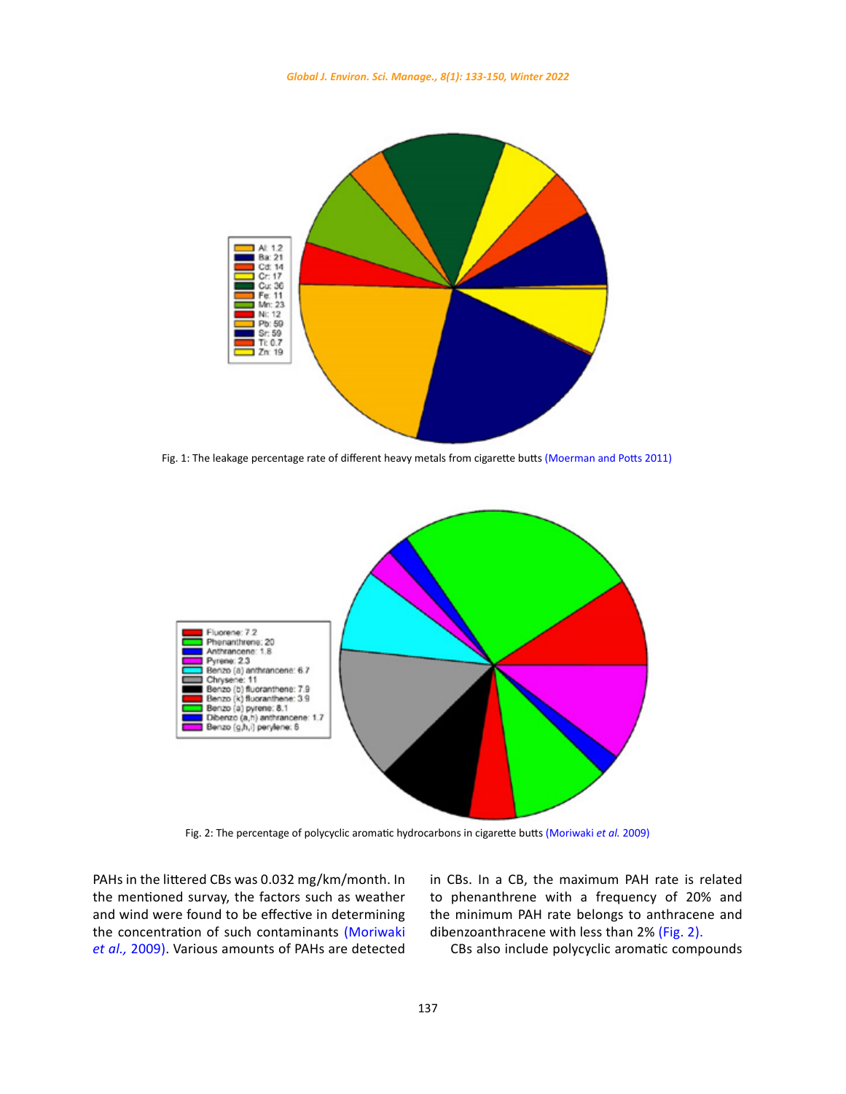*Global J. Environ. Sci. Manage., 8(1): 133-150, Winter 2022*

<span id="page-4-0"></span>

Fig. 1: The leakage percentage rate of different heavy metals from cigarette butts (Moerman and Potts 2011)



Fig. 2: The percentage of polycyclic aromatic hydrocarbons in cigarette butts (Moriwaki *et al.* 2009)

PAHs in the littered CBs was 0.032 mg/km/month. In the mentioned survay, the factors such as weather and wind were found to be effective in determining the concentration of such contaminants [\(Moriwaki](#page-13-0)  *et al.,* [2009\)](#page-13-0). Various amounts of PAHs are detected

onth. In in CBs. In a CB, the maximum PAH rate is related to phenanthrene with a frequency of 20% and the minimum PAH rate belongs to anthracene and dibenzoanthracene with less than 2% (Fig. 2).

CBs also include polycyclic aromatic compounds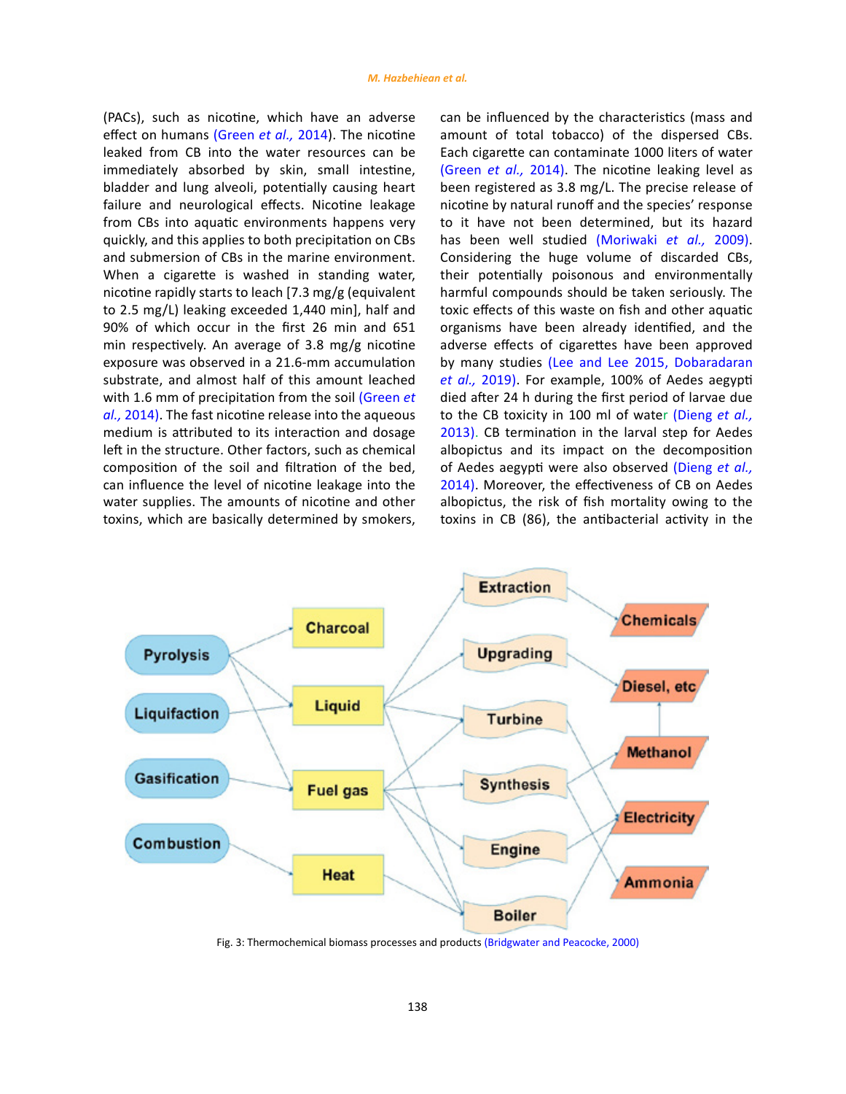<span id="page-5-0"></span>(PACs), such as nicotine, which have an adverse effect on humans [\(Green](#page-13-0) *et al.,* 2014). The nicotine leaked from CB into the water resources can be immediately absorbed by skin, small intestine, bladder and lung alveoli, potentially causing heart failure and neurological effects. Nicotine leakage from CBs into aquatic environments happens very quickly, and this applies to both precipitation on CBs and submersion of CBs in the marine environment. When a cigarette is washed in standing water, nicotine rapidly starts to leach [7.3 mg/g (equivalent to 2.5 mg/L) leaking exceeded 1,440 min], half and 90% of which occur in the first 26 min and 651 min respectively. An average of 3.8 mg/g nicotine exposure was observed in a 21.6-mm accumulation substrate, and almost half of this amount leached with 1.6 mm of precipitation from the soil [\(Green](#page-13-0) *et al.,* [2014\).](#page-13-0) The fast nicotine release into the aqueous medium is attributed to its interaction and dosage left in the structure. Other factors, such as chemical composition of the soil and filtration of the bed, can influence the level of nicotine leakage into the water supplies. The amounts of nicotine and other toxins, which are basically determined by smokers,

can be influenced by the characteristics (mass and amount of total tobacco) of the dispersed CBs. Each cigarette can contaminate 1000 liters of water (Green *et al.,* [2014\).](#page-13-0) The nicotine leaking level as been registered as 3.8 mg/L. The precise release of nicotine by natural runoff and the species' response to it have not been determined, but its hazard has been well studied [\(Moriwaki](#page-13-0) *et al.,* 2009). Considering the huge volume of discarded CBs, their potentially poisonous and environmentally harmful compounds should be taken seriously. The toxic effects of this waste on fish and other aquatic organisms have been already identified, and the adverse effects of cigarettes have been approved by many studies [\(Lee and Lee 2015, Dobaradaran](#page-13-0) *et al.,* [2019\)](#page-13-0). For example, 100% of Aedes aegypti died after 24 h during the first period of larvae due to the CB toxicity in 100 ml of water [\(Dieng](#page-13-0) *et al.,* [2013\)](#page-13-0). CB termination in the larval step for Aedes albopictus and its impact on the decomposition of Aedes aegypti were also observed [\(Dieng](#page-13-0) *et al.,* [2014\).](#page-13-0) Moreover, the effectiveness of CB on Aedes albopictus, the risk of fish mortality owing to the toxins in CB (86), the antibacterial activity in the



Fig. 3: Thermochemical biomass processes and products Fig. 3: Thermochemical biomass processes and products (Bridgwater and Peacocke, 2000)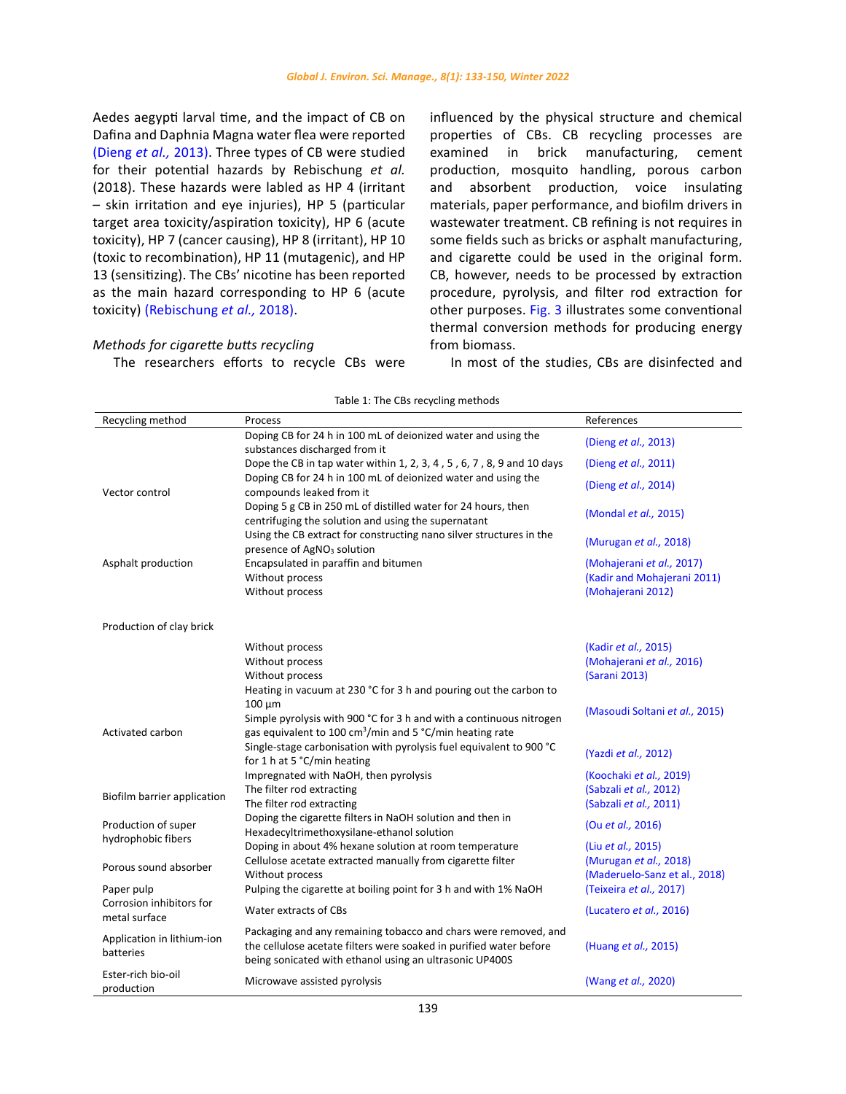<span id="page-6-0"></span>Aedes aegypti larval time, and the impact of CB on Dafina and Daphnia Magna water flea were reported [\(Dieng](#page-13-0) *et al.,* 2013). Three types of CB were studied for their potential hazards by Rebischung *et al.* (2018). These hazards were labled as HP 4 (irritant – skin irritation and eye injuries), HP 5 (particular target area toxicity/aspiration toxicity), HP 6 (acute toxicity), HP 7 (cancer causing), HP 8 (irritant), HP 10 (toxic to recombination), HP 11 (mutagenic), and HP 13 (sensitizing). The CBs' nicotine has been reported as the main hazard corresponding to HP 6 (acute toxicity) [\(Rebischung](#page-13-0) *et al.,* 2018).

# *Methods for cigarette butts recycling* The researchers efforts to recycle CBs were

influenced by the physical structure and chemical properties of CBs. CB recycling processes are examined in brick manufacturing, cement production, mosquito handling, porous carbon and absorbent production, voice insulating materials, paper performance, and biofilm drivers in wastewater treatment. CB refining is not requires in some fields such as bricks or asphalt manufacturing, and cigarette could be used in the original form. CB, however, needs to be processed by extraction procedure, pyrolysis, and filter rod extraction for other purposes. [Fig. 3](#page-5-0) illustrates some conventional thermal conversion methods for producing energy from biomass.

In most of the studies, CBs are disinfected and

| Recycling method<br>References<br>Process<br>Doping CB for 24 h in 100 mL of deionized water and using the<br>(Dieng et al., 2013)<br>substances discharged from it<br>Dope the CB in tap water within 1, 2, 3, 4, 5, 6, 7, 8, 9 and 10 days<br>(Dieng et al., 2011)<br>Doping CB for 24 h in 100 mL of deionized water and using the<br>(Dieng et al., 2014)<br>compounds leaked from it<br>Doping 5 g CB in 250 mL of distilled water for 24 hours, then<br>(Mondal et al., 2015)<br>centrifuging the solution and using the supernatant<br>Using the CB extract for constructing nano silver structures in the<br>(Murugan et al., 2018)<br>presence of AgNO <sub>3</sub> solution<br>Encapsulated in paraffin and bitumen<br>Asphalt production<br>(Mohajerani et al., 2017)<br>Without process<br>(Kadir and Mohajerani 2011)<br>Without process<br>(Mohajerani 2012)<br>(Kadir et al., 2015)<br>Without process<br>Without process<br>(Mohajerani et al., 2016)<br>(Sarani 2013)<br>Without process<br>Heating in vacuum at 230 °C for 3 h and pouring out the carbon to<br>$100 \mu m$<br>(Masoudi Soltani et al., 2015)<br>Simple pyrolysis with 900 °C for 3 h and with a continuous nitrogen<br>Activated carbon<br>gas equivalent to 100 $\text{cm}^3/\text{min}$ and 5 °C/min heating rate<br>Single-stage carbonisation with pyrolysis fuel equivalent to 900 °C<br>(Yazdi et al., 2012)<br>for 1 h at 5 °C/min heating<br>Impregnated with NaOH, then pyrolysis<br>(Koochaki et al., 2019)<br>The filter rod extracting<br>(Sabzali et al., 2012)<br>Biofilm barrier application<br>The filter rod extracting<br>(Sabzali et al., 2011)<br>Doping the cigarette filters in NaOH solution and then in<br>Production of super<br>(Ou et al., 2016)<br>Hexadecyltrimethoxysilane-ethanol solution<br>hydrophobic fibers<br>Doping in about 4% hexane solution at room temperature<br>(Liu et al., 2015)<br>Cellulose acetate extracted manually from cigarette filter<br>(Murugan et al., 2018)<br>Porous sound absorber<br>(Maderuelo-Sanz et al., 2018)<br>Without process<br>Pulping the cigarette at boiling point for 3 h and with 1% NaOH<br>(Teixeira et al., 2017)<br>Corrosion inhibitors for<br>Water extracts of CBs<br>(Lucatero et al., 2016)<br>metal surface<br>Packaging and any remaining tobacco and chars were removed, and<br>Application in lithium-ion<br>the cellulose acetate filters were soaked in purified water before<br>(Huang et al., 2015)<br>batteries<br>being sonicated with ethanol using an ultrasonic UP400S<br>Ester-rich bio-oil<br>Microwave assisted pyrolysis<br>(Wang et al., 2020) | TODIC 1. THE CDS TECYCING INCLIDUS |  |  |  |  |
|--------------------------------------------------------------------------------------------------------------------------------------------------------------------------------------------------------------------------------------------------------------------------------------------------------------------------------------------------------------------------------------------------------------------------------------------------------------------------------------------------------------------------------------------------------------------------------------------------------------------------------------------------------------------------------------------------------------------------------------------------------------------------------------------------------------------------------------------------------------------------------------------------------------------------------------------------------------------------------------------------------------------------------------------------------------------------------------------------------------------------------------------------------------------------------------------------------------------------------------------------------------------------------------------------------------------------------------------------------------------------------------------------------------------------------------------------------------------------------------------------------------------------------------------------------------------------------------------------------------------------------------------------------------------------------------------------------------------------------------------------------------------------------------------------------------------------------------------------------------------------------------------------------------------------------------------------------------------------------------------------------------------------------------------------------------------------------------------------------------------------------------------------------------------------------------------------------------------------------------------------------------------------------------------------------------------------------------------------------------------------------------------------------------------------------------------------------------------------------------------------------------------------------------------------------------------------------------------------------------------------------------------|------------------------------------|--|--|--|--|
|                                                                                                                                                                                                                                                                                                                                                                                                                                                                                                                                                                                                                                                                                                                                                                                                                                                                                                                                                                                                                                                                                                                                                                                                                                                                                                                                                                                                                                                                                                                                                                                                                                                                                                                                                                                                                                                                                                                                                                                                                                                                                                                                                                                                                                                                                                                                                                                                                                                                                                                                                                                                                                            |                                    |  |  |  |  |
|                                                                                                                                                                                                                                                                                                                                                                                                                                                                                                                                                                                                                                                                                                                                                                                                                                                                                                                                                                                                                                                                                                                                                                                                                                                                                                                                                                                                                                                                                                                                                                                                                                                                                                                                                                                                                                                                                                                                                                                                                                                                                                                                                                                                                                                                                                                                                                                                                                                                                                                                                                                                                                            |                                    |  |  |  |  |
|                                                                                                                                                                                                                                                                                                                                                                                                                                                                                                                                                                                                                                                                                                                                                                                                                                                                                                                                                                                                                                                                                                                                                                                                                                                                                                                                                                                                                                                                                                                                                                                                                                                                                                                                                                                                                                                                                                                                                                                                                                                                                                                                                                                                                                                                                                                                                                                                                                                                                                                                                                                                                                            |                                    |  |  |  |  |
|                                                                                                                                                                                                                                                                                                                                                                                                                                                                                                                                                                                                                                                                                                                                                                                                                                                                                                                                                                                                                                                                                                                                                                                                                                                                                                                                                                                                                                                                                                                                                                                                                                                                                                                                                                                                                                                                                                                                                                                                                                                                                                                                                                                                                                                                                                                                                                                                                                                                                                                                                                                                                                            |                                    |  |  |  |  |
|                                                                                                                                                                                                                                                                                                                                                                                                                                                                                                                                                                                                                                                                                                                                                                                                                                                                                                                                                                                                                                                                                                                                                                                                                                                                                                                                                                                                                                                                                                                                                                                                                                                                                                                                                                                                                                                                                                                                                                                                                                                                                                                                                                                                                                                                                                                                                                                                                                                                                                                                                                                                                                            |                                    |  |  |  |  |
|                                                                                                                                                                                                                                                                                                                                                                                                                                                                                                                                                                                                                                                                                                                                                                                                                                                                                                                                                                                                                                                                                                                                                                                                                                                                                                                                                                                                                                                                                                                                                                                                                                                                                                                                                                                                                                                                                                                                                                                                                                                                                                                                                                                                                                                                                                                                                                                                                                                                                                                                                                                                                                            | Vector control                     |  |  |  |  |
|                                                                                                                                                                                                                                                                                                                                                                                                                                                                                                                                                                                                                                                                                                                                                                                                                                                                                                                                                                                                                                                                                                                                                                                                                                                                                                                                                                                                                                                                                                                                                                                                                                                                                                                                                                                                                                                                                                                                                                                                                                                                                                                                                                                                                                                                                                                                                                                                                                                                                                                                                                                                                                            |                                    |  |  |  |  |
|                                                                                                                                                                                                                                                                                                                                                                                                                                                                                                                                                                                                                                                                                                                                                                                                                                                                                                                                                                                                                                                                                                                                                                                                                                                                                                                                                                                                                                                                                                                                                                                                                                                                                                                                                                                                                                                                                                                                                                                                                                                                                                                                                                                                                                                                                                                                                                                                                                                                                                                                                                                                                                            |                                    |  |  |  |  |
|                                                                                                                                                                                                                                                                                                                                                                                                                                                                                                                                                                                                                                                                                                                                                                                                                                                                                                                                                                                                                                                                                                                                                                                                                                                                                                                                                                                                                                                                                                                                                                                                                                                                                                                                                                                                                                                                                                                                                                                                                                                                                                                                                                                                                                                                                                                                                                                                                                                                                                                                                                                                                                            |                                    |  |  |  |  |
|                                                                                                                                                                                                                                                                                                                                                                                                                                                                                                                                                                                                                                                                                                                                                                                                                                                                                                                                                                                                                                                                                                                                                                                                                                                                                                                                                                                                                                                                                                                                                                                                                                                                                                                                                                                                                                                                                                                                                                                                                                                                                                                                                                                                                                                                                                                                                                                                                                                                                                                                                                                                                                            |                                    |  |  |  |  |
|                                                                                                                                                                                                                                                                                                                                                                                                                                                                                                                                                                                                                                                                                                                                                                                                                                                                                                                                                                                                                                                                                                                                                                                                                                                                                                                                                                                                                                                                                                                                                                                                                                                                                                                                                                                                                                                                                                                                                                                                                                                                                                                                                                                                                                                                                                                                                                                                                                                                                                                                                                                                                                            |                                    |  |  |  |  |
|                                                                                                                                                                                                                                                                                                                                                                                                                                                                                                                                                                                                                                                                                                                                                                                                                                                                                                                                                                                                                                                                                                                                                                                                                                                                                                                                                                                                                                                                                                                                                                                                                                                                                                                                                                                                                                                                                                                                                                                                                                                                                                                                                                                                                                                                                                                                                                                                                                                                                                                                                                                                                                            |                                    |  |  |  |  |
|                                                                                                                                                                                                                                                                                                                                                                                                                                                                                                                                                                                                                                                                                                                                                                                                                                                                                                                                                                                                                                                                                                                                                                                                                                                                                                                                                                                                                                                                                                                                                                                                                                                                                                                                                                                                                                                                                                                                                                                                                                                                                                                                                                                                                                                                                                                                                                                                                                                                                                                                                                                                                                            |                                    |  |  |  |  |
|                                                                                                                                                                                                                                                                                                                                                                                                                                                                                                                                                                                                                                                                                                                                                                                                                                                                                                                                                                                                                                                                                                                                                                                                                                                                                                                                                                                                                                                                                                                                                                                                                                                                                                                                                                                                                                                                                                                                                                                                                                                                                                                                                                                                                                                                                                                                                                                                                                                                                                                                                                                                                                            |                                    |  |  |  |  |
|                                                                                                                                                                                                                                                                                                                                                                                                                                                                                                                                                                                                                                                                                                                                                                                                                                                                                                                                                                                                                                                                                                                                                                                                                                                                                                                                                                                                                                                                                                                                                                                                                                                                                                                                                                                                                                                                                                                                                                                                                                                                                                                                                                                                                                                                                                                                                                                                                                                                                                                                                                                                                                            | Production of clay brick           |  |  |  |  |
|                                                                                                                                                                                                                                                                                                                                                                                                                                                                                                                                                                                                                                                                                                                                                                                                                                                                                                                                                                                                                                                                                                                                                                                                                                                                                                                                                                                                                                                                                                                                                                                                                                                                                                                                                                                                                                                                                                                                                                                                                                                                                                                                                                                                                                                                                                                                                                                                                                                                                                                                                                                                                                            |                                    |  |  |  |  |
|                                                                                                                                                                                                                                                                                                                                                                                                                                                                                                                                                                                                                                                                                                                                                                                                                                                                                                                                                                                                                                                                                                                                                                                                                                                                                                                                                                                                                                                                                                                                                                                                                                                                                                                                                                                                                                                                                                                                                                                                                                                                                                                                                                                                                                                                                                                                                                                                                                                                                                                                                                                                                                            |                                    |  |  |  |  |
|                                                                                                                                                                                                                                                                                                                                                                                                                                                                                                                                                                                                                                                                                                                                                                                                                                                                                                                                                                                                                                                                                                                                                                                                                                                                                                                                                                                                                                                                                                                                                                                                                                                                                                                                                                                                                                                                                                                                                                                                                                                                                                                                                                                                                                                                                                                                                                                                                                                                                                                                                                                                                                            |                                    |  |  |  |  |
|                                                                                                                                                                                                                                                                                                                                                                                                                                                                                                                                                                                                                                                                                                                                                                                                                                                                                                                                                                                                                                                                                                                                                                                                                                                                                                                                                                                                                                                                                                                                                                                                                                                                                                                                                                                                                                                                                                                                                                                                                                                                                                                                                                                                                                                                                                                                                                                                                                                                                                                                                                                                                                            |                                    |  |  |  |  |
|                                                                                                                                                                                                                                                                                                                                                                                                                                                                                                                                                                                                                                                                                                                                                                                                                                                                                                                                                                                                                                                                                                                                                                                                                                                                                                                                                                                                                                                                                                                                                                                                                                                                                                                                                                                                                                                                                                                                                                                                                                                                                                                                                                                                                                                                                                                                                                                                                                                                                                                                                                                                                                            |                                    |  |  |  |  |
|                                                                                                                                                                                                                                                                                                                                                                                                                                                                                                                                                                                                                                                                                                                                                                                                                                                                                                                                                                                                                                                                                                                                                                                                                                                                                                                                                                                                                                                                                                                                                                                                                                                                                                                                                                                                                                                                                                                                                                                                                                                                                                                                                                                                                                                                                                                                                                                                                                                                                                                                                                                                                                            |                                    |  |  |  |  |
|                                                                                                                                                                                                                                                                                                                                                                                                                                                                                                                                                                                                                                                                                                                                                                                                                                                                                                                                                                                                                                                                                                                                                                                                                                                                                                                                                                                                                                                                                                                                                                                                                                                                                                                                                                                                                                                                                                                                                                                                                                                                                                                                                                                                                                                                                                                                                                                                                                                                                                                                                                                                                                            |                                    |  |  |  |  |
|                                                                                                                                                                                                                                                                                                                                                                                                                                                                                                                                                                                                                                                                                                                                                                                                                                                                                                                                                                                                                                                                                                                                                                                                                                                                                                                                                                                                                                                                                                                                                                                                                                                                                                                                                                                                                                                                                                                                                                                                                                                                                                                                                                                                                                                                                                                                                                                                                                                                                                                                                                                                                                            |                                    |  |  |  |  |
|                                                                                                                                                                                                                                                                                                                                                                                                                                                                                                                                                                                                                                                                                                                                                                                                                                                                                                                                                                                                                                                                                                                                                                                                                                                                                                                                                                                                                                                                                                                                                                                                                                                                                                                                                                                                                                                                                                                                                                                                                                                                                                                                                                                                                                                                                                                                                                                                                                                                                                                                                                                                                                            |                                    |  |  |  |  |
|                                                                                                                                                                                                                                                                                                                                                                                                                                                                                                                                                                                                                                                                                                                                                                                                                                                                                                                                                                                                                                                                                                                                                                                                                                                                                                                                                                                                                                                                                                                                                                                                                                                                                                                                                                                                                                                                                                                                                                                                                                                                                                                                                                                                                                                                                                                                                                                                                                                                                                                                                                                                                                            |                                    |  |  |  |  |
|                                                                                                                                                                                                                                                                                                                                                                                                                                                                                                                                                                                                                                                                                                                                                                                                                                                                                                                                                                                                                                                                                                                                                                                                                                                                                                                                                                                                                                                                                                                                                                                                                                                                                                                                                                                                                                                                                                                                                                                                                                                                                                                                                                                                                                                                                                                                                                                                                                                                                                                                                                                                                                            |                                    |  |  |  |  |
|                                                                                                                                                                                                                                                                                                                                                                                                                                                                                                                                                                                                                                                                                                                                                                                                                                                                                                                                                                                                                                                                                                                                                                                                                                                                                                                                                                                                                                                                                                                                                                                                                                                                                                                                                                                                                                                                                                                                                                                                                                                                                                                                                                                                                                                                                                                                                                                                                                                                                                                                                                                                                                            |                                    |  |  |  |  |
|                                                                                                                                                                                                                                                                                                                                                                                                                                                                                                                                                                                                                                                                                                                                                                                                                                                                                                                                                                                                                                                                                                                                                                                                                                                                                                                                                                                                                                                                                                                                                                                                                                                                                                                                                                                                                                                                                                                                                                                                                                                                                                                                                                                                                                                                                                                                                                                                                                                                                                                                                                                                                                            |                                    |  |  |  |  |
|                                                                                                                                                                                                                                                                                                                                                                                                                                                                                                                                                                                                                                                                                                                                                                                                                                                                                                                                                                                                                                                                                                                                                                                                                                                                                                                                                                                                                                                                                                                                                                                                                                                                                                                                                                                                                                                                                                                                                                                                                                                                                                                                                                                                                                                                                                                                                                                                                                                                                                                                                                                                                                            |                                    |  |  |  |  |
|                                                                                                                                                                                                                                                                                                                                                                                                                                                                                                                                                                                                                                                                                                                                                                                                                                                                                                                                                                                                                                                                                                                                                                                                                                                                                                                                                                                                                                                                                                                                                                                                                                                                                                                                                                                                                                                                                                                                                                                                                                                                                                                                                                                                                                                                                                                                                                                                                                                                                                                                                                                                                                            |                                    |  |  |  |  |
|                                                                                                                                                                                                                                                                                                                                                                                                                                                                                                                                                                                                                                                                                                                                                                                                                                                                                                                                                                                                                                                                                                                                                                                                                                                                                                                                                                                                                                                                                                                                                                                                                                                                                                                                                                                                                                                                                                                                                                                                                                                                                                                                                                                                                                                                                                                                                                                                                                                                                                                                                                                                                                            |                                    |  |  |  |  |
|                                                                                                                                                                                                                                                                                                                                                                                                                                                                                                                                                                                                                                                                                                                                                                                                                                                                                                                                                                                                                                                                                                                                                                                                                                                                                                                                                                                                                                                                                                                                                                                                                                                                                                                                                                                                                                                                                                                                                                                                                                                                                                                                                                                                                                                                                                                                                                                                                                                                                                                                                                                                                                            |                                    |  |  |  |  |
|                                                                                                                                                                                                                                                                                                                                                                                                                                                                                                                                                                                                                                                                                                                                                                                                                                                                                                                                                                                                                                                                                                                                                                                                                                                                                                                                                                                                                                                                                                                                                                                                                                                                                                                                                                                                                                                                                                                                                                                                                                                                                                                                                                                                                                                                                                                                                                                                                                                                                                                                                                                                                                            | Paper pulp                         |  |  |  |  |
|                                                                                                                                                                                                                                                                                                                                                                                                                                                                                                                                                                                                                                                                                                                                                                                                                                                                                                                                                                                                                                                                                                                                                                                                                                                                                                                                                                                                                                                                                                                                                                                                                                                                                                                                                                                                                                                                                                                                                                                                                                                                                                                                                                                                                                                                                                                                                                                                                                                                                                                                                                                                                                            |                                    |  |  |  |  |
|                                                                                                                                                                                                                                                                                                                                                                                                                                                                                                                                                                                                                                                                                                                                                                                                                                                                                                                                                                                                                                                                                                                                                                                                                                                                                                                                                                                                                                                                                                                                                                                                                                                                                                                                                                                                                                                                                                                                                                                                                                                                                                                                                                                                                                                                                                                                                                                                                                                                                                                                                                                                                                            |                                    |  |  |  |  |
|                                                                                                                                                                                                                                                                                                                                                                                                                                                                                                                                                                                                                                                                                                                                                                                                                                                                                                                                                                                                                                                                                                                                                                                                                                                                                                                                                                                                                                                                                                                                                                                                                                                                                                                                                                                                                                                                                                                                                                                                                                                                                                                                                                                                                                                                                                                                                                                                                                                                                                                                                                                                                                            |                                    |  |  |  |  |
|                                                                                                                                                                                                                                                                                                                                                                                                                                                                                                                                                                                                                                                                                                                                                                                                                                                                                                                                                                                                                                                                                                                                                                                                                                                                                                                                                                                                                                                                                                                                                                                                                                                                                                                                                                                                                                                                                                                                                                                                                                                                                                                                                                                                                                                                                                                                                                                                                                                                                                                                                                                                                                            |                                    |  |  |  |  |
|                                                                                                                                                                                                                                                                                                                                                                                                                                                                                                                                                                                                                                                                                                                                                                                                                                                                                                                                                                                                                                                                                                                                                                                                                                                                                                                                                                                                                                                                                                                                                                                                                                                                                                                                                                                                                                                                                                                                                                                                                                                                                                                                                                                                                                                                                                                                                                                                                                                                                                                                                                                                                                            |                                    |  |  |  |  |
|                                                                                                                                                                                                                                                                                                                                                                                                                                                                                                                                                                                                                                                                                                                                                                                                                                                                                                                                                                                                                                                                                                                                                                                                                                                                                                                                                                                                                                                                                                                                                                                                                                                                                                                                                                                                                                                                                                                                                                                                                                                                                                                                                                                                                                                                                                                                                                                                                                                                                                                                                                                                                                            |                                    |  |  |  |  |
|                                                                                                                                                                                                                                                                                                                                                                                                                                                                                                                                                                                                                                                                                                                                                                                                                                                                                                                                                                                                                                                                                                                                                                                                                                                                                                                                                                                                                                                                                                                                                                                                                                                                                                                                                                                                                                                                                                                                                                                                                                                                                                                                                                                                                                                                                                                                                                                                                                                                                                                                                                                                                                            | production                         |  |  |  |  |

Table 1: The CBs recycling methods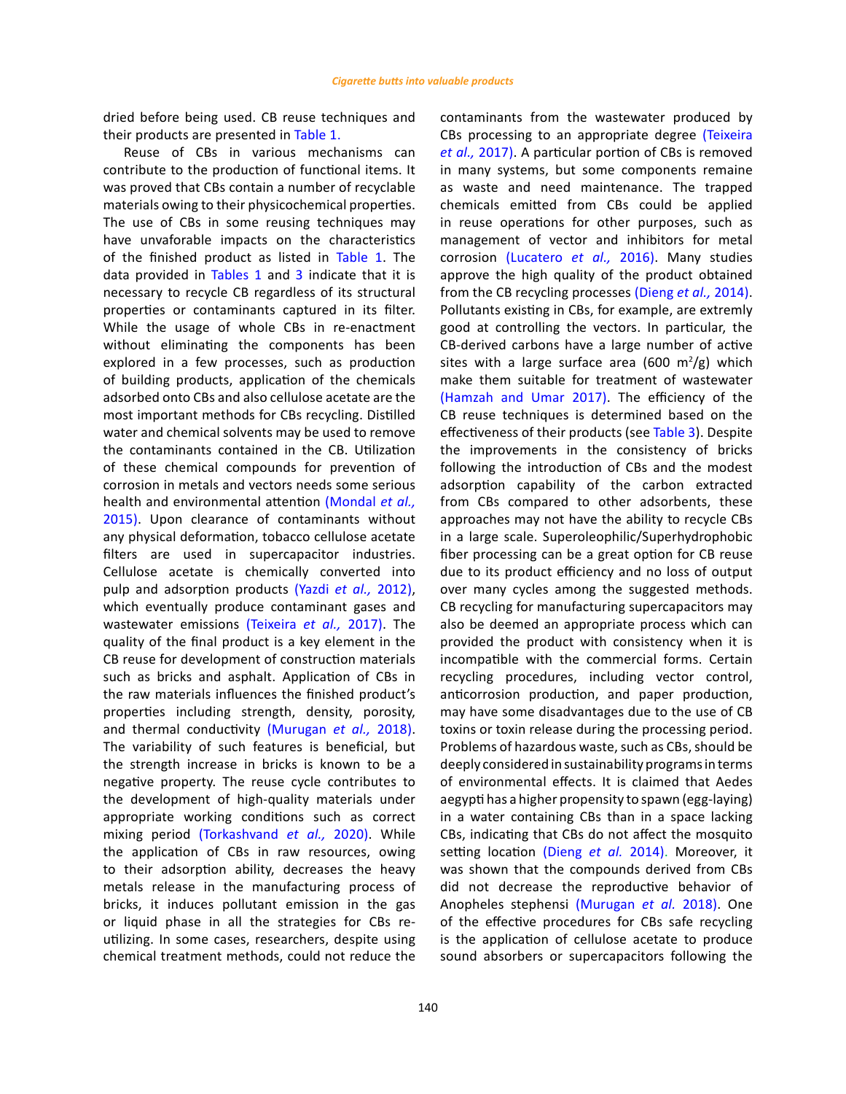dried before being used. CB reuse techniques and their products are presented in [Table 1.](#page-6-0)

Reuse of CBs in various mechanisms can contribute to the production of functional items. It was proved that CBs contain a number of recyclable materials owing to their physicochemical properties. The use of CBs in some reusing techniques may have unvaforable impacts on the characteristics of the finished product as listed in [Table 1.](#page-6-0) The data provided in [Tables 1](#page-6-0) and [3](#page-10-0) indicate that it is necessary to recycle CB regardless of its structural properties or contaminants captured in its filter. While the usage of whole CBs in re-enactment without eliminating the components has been explored in a few processes, such as production of building products, application of the chemicals adsorbed onto CBs and also cellulose acetate are the most important methods for CBs recycling. Distilled water and chemical solvents may be used to remove the contaminants contained in the CB. Utilization of these chemical compounds for prevention of corrosion in metals and vectors needs some serious health and environmental attention [\(Mondal](#page-13-0) *et al.,* [2015\).](#page-13-0) Upon clearance of contaminants without any physical deformation, tobacco cellulose acetate filters are used in supercapacitor industries. Cellulose acetate is chemically converted into pulp and adsorption products (Yazdi *et al.,* [2012\)](#page-13-0), which eventually produce contaminant gases and wastewater emissions [\(Teixeira](#page-13-0) *et al.,* 2017). The quality of the final product is a key element in the CB reuse for development of construction materials such as bricks and asphalt. Application of CBs in the raw materials influences the finished product's properties including strength, density, porosity, and thermal conductivity [\(Murugan](#page-13-0) *et al.,* 2018). The variability of such features is beneficial, but the strength increase in bricks is known to be a negative property. The reuse cycle contributes to the development of high-quality materials under appropriate working conditions such as correct mixing period [\(Torkashvand](#page-13-0) *et al.,* 2020). While the application of CBs in raw resources, owing to their adsorption ability, decreases the heavy metals release in the manufacturing process of bricks, it induces pollutant emission in the gas or liquid phase in all the strategies for CBs reutilizing. In some cases, researchers, despite using chemical treatment methods, could not reduce the

contaminants from the wastewater produced by CBs processing to an appropriate degree [\(Teixeira](#page-13-0) *et al.,* [2017\)](#page-13-0). A particular portion of CBs is removed in many systems, but some components remaine as waste and need maintenance. The trapped chemicals emitted from CBs could be applied in reuse operations for other purposes, such as management of vector and inhibitors for metal corrosion [\(Lucatero](#page-13-0) *et al.,* 2016). Many studies approve the high quality of the product obtained from the CB recycling processes [\(Dieng](#page-13-0) *et al.,* 2014). Pollutants existing in CBs, for example, are extremly good at controlling the vectors. In particular, the CB-derived carbons have a large number of active sites with a large surface area (600  $\mathrm{m}^2/\mathrm{g}$ ) which make them suitable for treatment of wastewater [\(Hamzah and Umar 2017\)](#page-13-0). The efficiency of the CB reuse techniques is determined based on the effectiveness of their products (see [Table 3](#page-10-0)). Despite the improvements in the consistency of bricks following the introduction of CBs and the modest adsorption capability of the carbon extracted from CBs compared to other adsorbents, these approaches may not have the ability to recycle CBs in a large scale. Superoleophilic/Superhydrophobic fiber processing can be a great option for CB reuse due to its product efficiency and no loss of output over many cycles among the suggested methods. CB recycling for manufacturing supercapacitors may also be deemed an appropriate process which can provided the product with consistency when it is incompatible with the commercial forms. Certain recycling procedures, including vector control, anticorrosion production, and paper production, may have some disadvantages due to the use of CB toxins or toxin release during the processing period. Problems of hazardous waste, such as CBs, should be deeply considered in sustainability programs in terms of environmental effects. It is claimed that Aedes aegypti has a higher propensity to spawn (egg-laying) in a water containing CBs than in a space lacking CBs, indicating that CBs do not affect the mosquito setting location [\(Dieng](#page-13-0) *et al.* 2014). Moreover, it was shown that the compounds derived from CBs did not decrease the reproductive behavior of Anopheles stephensi [\(Murugan](#page-13-0) *et al.* 2018). One of the effective procedures for CBs safe recycling is the application of cellulose acetate to produce sound absorbers or supercapacitors following the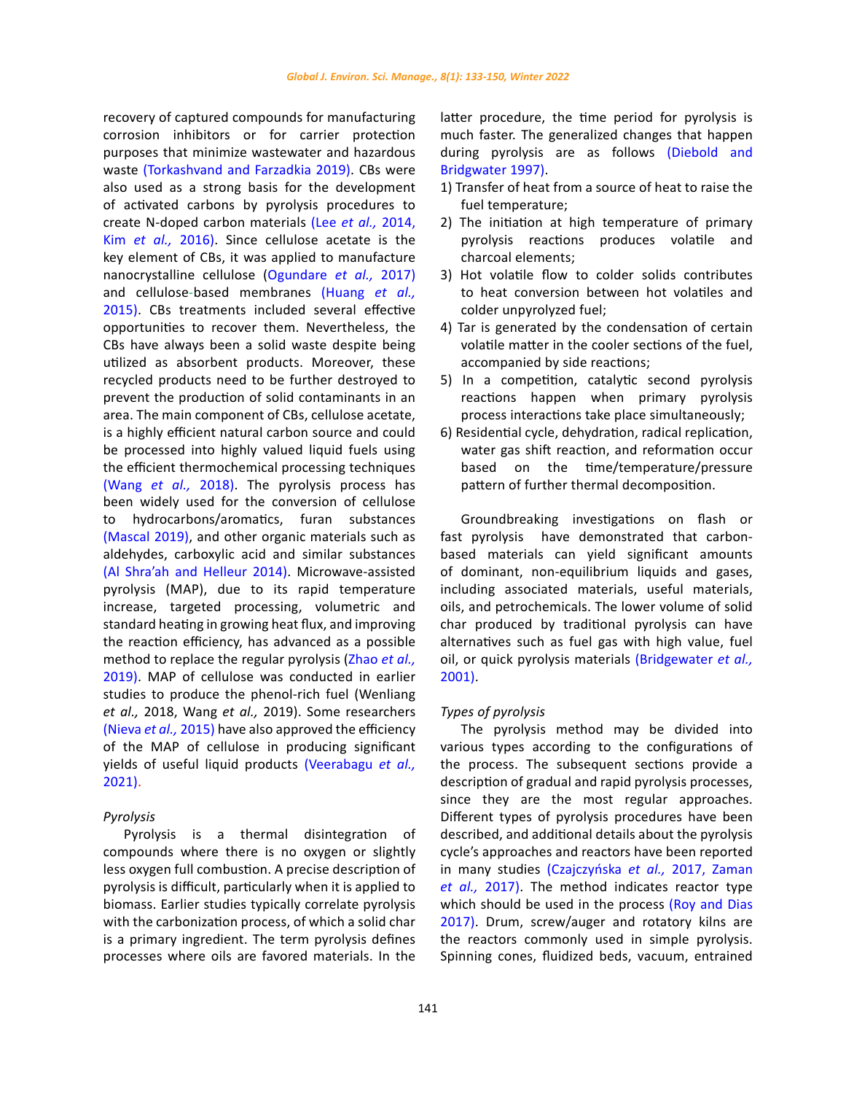recovery of captured compounds for manufacturing corrosion inhibitors or for carrier protection purposes that minimize wastewater and hazardous waste [\(Torkashvand and Farzadkia 2019\).](#page-13-0) CBs were also used as a strong basis for the development of activated carbons by pyrolysis procedures to create N-doped carbon materials (Lee *et al.,* [2014,](#page-13-0)  Kim *et al.,* [2016\)](#page-13-0). Since cellulose acetate is the key element of CBs, it was applied to manufacture nanocrystalline cellulose [\(Ogundare](#page-13-0) *et al.,* 2017) and cellulose-based membranes [\(Huang](#page-13-0) *et al.,* [2015\).](#page-13-0) CBs treatments included several effective opportunities to recover them. Nevertheless, the CBs have always been a solid waste despite being utilized as absorbent products. Moreover, these recycled products need to be further destroyed to prevent the production of solid contaminants in an area. The main component of CBs, cellulose acetate, is a highly efficient natural carbon source and could be processed into highly valued liquid fuels using the efficient thermochemical processing techniques (Wang *et al.,* [2018\)](#page-13-0). The pyrolysis process has been widely used for the conversion of cellulose to hydrocarbons/aromatics, furan substances [\(Mascal 2019\)](#page-13-0), and other organic materials such as aldehydes, carboxylic acid and similar substances [\(Al Shra'ah and Helleur 2014\).](#page-13-0) Microwave-assisted pyrolysis (MAP), due to its rapid temperature increase, targeted processing, volumetric and standard heating in growing heat flux, and improving the reaction efficiency, has advanced as a possible method to replace the regular pyrolysis [\(Zhao](#page-13-0) *et al.,* [2019\)](#page-13-0). MAP of cellulose was conducted in earlier studies to produce the phenol-rich fuel (Wenliang *et al.,* 2018, Wang *et al.,* 2019). Some researchers [\(Nieva](#page-13-0) *et al.,* 2015) have also approved the efficiency of the MAP of cellulose in producing significant yields of useful liquid products [\(Veerabagu](#page-13-0) *et al.,* [2021\)](#page-13-0).

# *Pyrolysis*

Pyrolysis is a thermal disintegration of compounds where there is no oxygen or slightly less oxygen full combustion. A precise description of pyrolysis is difficult, particularly when it is applied to biomass. Earlier studies typically correlate pyrolysis with the carbonization process, of which a solid char is a primary ingredient. The term pyrolysis defines processes where oils are favored materials. In the

latter procedure, the time period for pyrolysis is much faster. The generalized changes that happen during pyrolysis are as follows [\(Diebold and](#page-13-0) [Bridgwater](#page-13-0) 1997).

- 1) Transfer of heat from a source of heat to raise the fuel temperature;
- 2) The initiation at high temperature of primary pyrolysis reactions produces volatile and charcoal elements;
- 3) Hot volatile flow to colder solids contributes to heat conversion between hot volatiles and colder unpyrolyzed fuel;
- 4) Tar is generated by the condensation of certain volatile matter in the cooler sections of the fuel, accompanied by side reactions;
- 5) In a competition, catalytic second pyrolysis reactions happen when primary pyrolysis process interactions take place simultaneously;
- 6) Residential cycle, dehydration, radical replication, water gas shift reaction, and reformation occur based on the time/temperature/pressure pattern of further thermal decomposition.

Groundbreaking investigations on flash or fast pyrolysis have demonstrated that carbonbased materials can yield significant amounts of dominant, non-equilibrium liquids and gases, including associated materials, useful materials, oils, and petrochemicals. The lower volume of solid char produced by traditional pyrolysis can have alternatives such as fuel gas with high value, fuel oil, or quick pyrolysis materials [\(Bridgewater](#page-13-0) *et al.,* [2001\)](#page-13-0).

## *Types of pyrolysis*

The pyrolysis method may be divided into various types according to the configurations of the process. The subsequent sections provide a description of gradual and rapid pyrolysis processes, since they are the most regular approaches. Different types of pyrolysis procedures have been described, and additional details about the pyrolysis cycle's approaches and reactors have been reported in many studies (Czajczyńska *et al.,* [2017, Zaman](#page-13-0) *et al.,* [2017\)](#page-13-0). The method indicates reactor type which should be used in the process [\(Roy and Dias](#page-13-0) [2017\)](#page-13-0). Drum, screw/auger and rotatory kilns are the reactors commonly used in simple pyrolysis. Spinning cones, fluidized beds, vacuum, entrained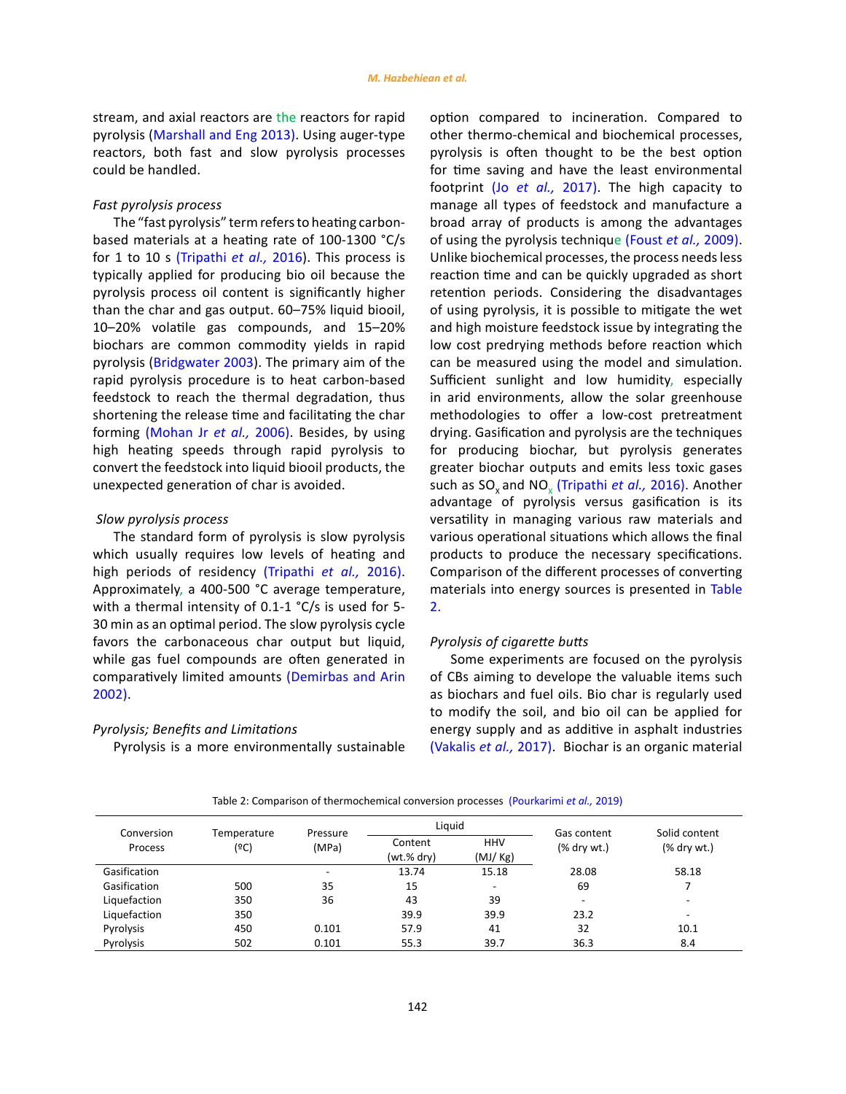stream, and axial reactors are the reactors for rapid pyrolysis [\(Marshall and Eng 2013\)](#page-13-0). Using auger-type reactors, both fast and slow pyrolysis processes could be handled.

# *Fast pyrolysis process*

The "fast pyrolysis" term refers to heating carbonbased materials at a heating rate of 100-1300 °C/s for 1 to 10 s [\(Tripathi](#page-13-0) *et al.,* 2016). This process is typically applied for producing bio oil because the pyrolysis process oil content is significantly higher than the char and gas output. 60–75% liquid biooil, 10–20% volatile gas compounds, and 15–20% biochars are common commodity yields in rapid pyrolysis ([Bridgwater 2003\).](#page-13-0) The primary aim of the rapid pyrolysis procedure is to heat carbon-based feedstock to reach the thermal degradation, thus shortening the release time and facilitating the char forming [\(Mohan Jr](#page-13-0) *et al.,* 2006). Besides, by using high heating speeds through rapid pyrolysis to convert the feedstock into liquid biooil products, the unexpected generation of char is avoided.

# *Slow pyrolysis process*

The standard form of pyrolysis is slow pyrolysis which usually requires low levels of heating and high periods of residency [\(Tripathi](#page-13-0) *et al.,* 2016). Approximately, a 400-500 °C average temperature, with a thermal intensity of 0.1-1 °C/s is used for 5- 30 min as an optimal period. The slow pyrolysis cycle favors the carbonaceous char output but liquid, while gas fuel compounds are often generated in comparatively limited amounts [\(Demirbas and Arin](#page-13-0)  [2002\)](#page-13-0).

### *Pyrolysis; Benefits and Limitations*

Pyrolysis is a more environmentally sustainable

option compared to incineration. Compared to other thermo-chemical and biochemical processes, pyrolysis is often thought to be the best option for time saving and have the least environmental footprint (Jo *et al.,* [2017\)](#page-13-0). The high capacity to manage all types of feedstock and manufacture a broad array of products is among the advantages of using the pyrolysis technique [\(Foust](#page-13-0) *et al.,* 2009). Unlike biochemical processes, the process needs less reaction time and can be quickly upgraded as short retention periods. Considering the disadvantages of using pyrolysis, it is possible to mitigate the wet and high moisture feedstock issue by integrating the low cost predrying methods before reaction which can be measured using the model and simulation. Sufficient sunlight and low humidity, especially in arid environments, allow the solar greenhouse methodologies to offer a low-cost pretreatment drying. Gasification and pyrolysis are the techniques for producing biochar, but pyrolysis generates greater biochar outputs and emits less toxic gases such as SO<sub>v</sub> and NO<sub>v</sub> [\(Tripathi](#page-13-0) *et al.*, 2016). Another advantage of pyrolysis versus gasification is its versatility in managing various raw materials and various operational situations which allows the final products to produce the necessary specifications. Comparison of the different processes of converting materials into energy sources is presented in Table 2.

# *Pyrolysis of cigarette butts*

Some experiments are focused on the pyrolysis of CBs aiming to develope the valuable items such as biochars and fuel oils. Bio char is regularly used to modify the soil, and bio oil can be applied for energy supply and as additive in asphalt industries [\(Vakalis](#page-13-0) *et al.,* 2017). Biochar is an organic material

| Conversion<br>Process | Temperature<br>(ºC) | Pressure<br>(MPa) | Liguid                |                          | Gas content              | Solid content            |
|-----------------------|---------------------|-------------------|-----------------------|--------------------------|--------------------------|--------------------------|
|                       |                     |                   | Content<br>(wt.% dry) | <b>HHV</b><br>(MJ/Kg)    | $%$ dry wt.)             | $%$ dry wt.)             |
| Gasification          |                     | -                 | 13.74                 | 15.18                    | 28.08                    | 58.18                    |
| Gasification          | 500                 | 35                | 15                    | $\overline{\phantom{a}}$ | 69                       |                          |
| Liquefaction          | 350                 | 36                | 43                    | 39                       | $\overline{\phantom{a}}$ | $\overline{\phantom{0}}$ |
| Liquefaction          | 350                 |                   | 39.9                  | 39.9                     | 23.2                     | $\overline{\phantom{a}}$ |
| Pyrolysis             | 450                 | 0.101             | 57.9                  | 41                       | 32                       | 10.1                     |
| Pyrolysis             | 502                 | 0.101             | 55.3                  | 39.7                     | 36.3                     | 8.4                      |

(Pourkarimi *et al.,* 2019) Table 2: Comparison of thermochemical conversion processes (Pourkarimi *et al.,* 2019)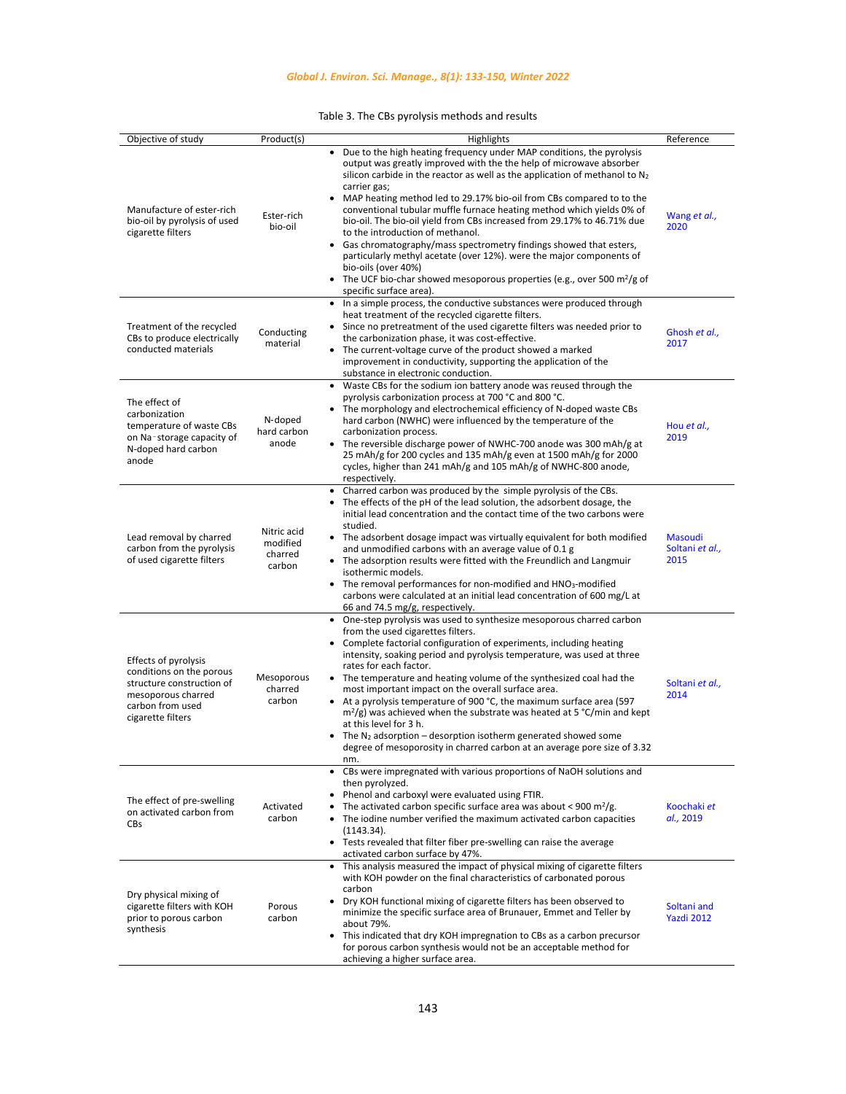Table 3. The CBs pyrolysis methods and results Table 3. The CBs pyrolysis methods and results

<span id="page-10-0"></span>

| Objective of study                                                                                                                           | Product(s)                                   | Highlights                                                                                                                                                                                                                                                                                                                                                                                                                                                                                                                                                                                                                                                                                                                                                                                                          | Reference                          |
|----------------------------------------------------------------------------------------------------------------------------------------------|----------------------------------------------|---------------------------------------------------------------------------------------------------------------------------------------------------------------------------------------------------------------------------------------------------------------------------------------------------------------------------------------------------------------------------------------------------------------------------------------------------------------------------------------------------------------------------------------------------------------------------------------------------------------------------------------------------------------------------------------------------------------------------------------------------------------------------------------------------------------------|------------------------------------|
| Manufacture of ester-rich<br>bio-oil by pyrolysis of used<br>cigarette filters                                                               | Ester-rich<br>bio-oil                        | Due to the high heating frequency under MAP conditions, the pyrolysis<br>$\bullet$<br>output was greatly improved with the the help of microwave absorber<br>silicon carbide in the reactor as well as the application of methanol to N <sub>2</sub><br>carrier gas;<br>MAP heating method led to 29.17% bio-oil from CBs compared to to the<br>conventional tubular muffle furnace heating method which yields 0% of<br>bio-oil. The bio-oil yield from CBs increased from 29.17% to 46.71% due<br>to the introduction of methanol.<br>• Gas chromatography/mass spectrometry findings showed that esters,<br>particularly methyl acetate (over 12%). were the major components of<br>bio-oils (over 40%)<br>• The UCF bio-char showed mesoporous properties (e.g., over 500 $m^2/g$ of<br>specific surface area). | Wang et al.,<br>2020               |
| Treatment of the recycled<br>CBs to produce electrically<br>conducted materials                                                              | Conducting<br>material                       | In a simple process, the conductive substances were produced through<br>heat treatment of the recycled cigarette filters.<br>Since no pretreatment of the used cigarette filters was needed prior to<br>the carbonization phase, it was cost-effective.<br>• The current-voltage curve of the product showed a marked<br>improvement in conductivity, supporting the application of the<br>substance in electronic conduction.                                                                                                                                                                                                                                                                                                                                                                                      | Ghosh et al.,<br>2017              |
| The effect of<br>carbonization<br>temperature of waste CBs<br>on Na-storage capacity of<br>N-doped hard carbon<br>anode                      | N-doped<br>hard carbon<br>anode              | • Waste CBs for the sodium ion battery anode was reused through the<br>pyrolysis carbonization process at 700 °C and 800 °C.<br>• The morphology and electrochemical efficiency of N-doped waste CBs<br>hard carbon (NWHC) were influenced by the temperature of the<br>carbonization process.<br>The reversible discharge power of NWHC-700 anode was 300 mAh/g at<br>25 mAh/g for 200 cycles and 135 mAh/g even at 1500 mAh/g for 2000<br>cycles, higher than 241 mAh/g and 105 mAh/g of NWHC-800 anode,<br>respectively.                                                                                                                                                                                                                                                                                         | Hou et al.,<br>2019                |
| Lead removal by charred<br>carbon from the pyrolysis<br>of used cigarette filters                                                            | Nitric acid<br>modified<br>charred<br>carbon | Charred carbon was produced by the simple pyrolysis of the CBs.<br>$\bullet$<br>The effects of the pH of the lead solution, the adsorbent dosage, the<br>initial lead concentration and the contact time of the two carbons were<br>studied.<br>• The adsorbent dosage impact was virtually equivalent for both modified<br>and unmodified carbons with an average value of 0.1 g<br>• The adsorption results were fitted with the Freundlich and Langmuir<br>isothermic models.<br>• The removal performances for non-modified and HNO <sub>3</sub> -modified<br>carbons were calculated at an initial lead concentration of 600 mg/L at<br>66 and 74.5 mg/g, respectively.                                                                                                                                        | Masoudi<br>Soltani et al.,<br>2015 |
| Effects of pyrolysis<br>conditions on the porous<br>structure construction of<br>mesoporous charred<br>carbon from used<br>cigarette filters | Mesoporous<br>charred<br>carbon              | • One-step pyrolysis was used to synthesize mesoporous charred carbon<br>from the used cigarettes filters.<br>• Complete factorial configuration of experiments, including heating<br>intensity, soaking period and pyrolysis temperature, was used at three<br>rates for each factor.<br>• The temperature and heating volume of the synthesized coal had the<br>most important impact on the overall surface area.<br>• At a pyrolysis temperature of 900 °C, the maximum surface area (597<br>$m^2$ /g) was achieved when the substrate was heated at 5 °C/min and kept<br>at this level for 3 h.<br>• The $N_2$ adsorption – desorption isotherm generated showed some<br>degree of mesoporosity in charred carbon at an average pore size of 3.32<br>nm.                                                       | Soltani et al.,<br>2014            |
| The effect of pre-swelling<br>on activated carbon from<br>CBs                                                                                | Activated<br>carbon                          | • CBs were impregnated with various proportions of NaOH solutions and<br>then pyrolyzed.<br>Phenol and carboxyl were evaluated using FTIR.<br>٠<br>The activated carbon specific surface area was about < 900 m <sup>2</sup> /g.<br>$\bullet$<br>The iodine number verified the maximum activated carbon capacities<br>(1143.34).<br>Tests revealed that filter fiber pre-swelling can raise the average<br>$\bullet$<br>activated carbon surface by 47%.                                                                                                                                                                                                                                                                                                                                                           | Koochaki et<br>al., 2019           |
| Dry physical mixing of<br>cigarette filters with KOH<br>prior to porous carbon<br>synthesis                                                  | Porous<br>carbon                             | This analysis measured the impact of physical mixing of cigarette filters<br>$\bullet$<br>with KOH powder on the final characteristics of carbonated porous<br>carbon<br>Dry KOH functional mixing of cigarette filters has been observed to<br>minimize the specific surface area of Brunauer, Emmet and Teller by<br>about 79%.<br>This indicated that dry KOH impregnation to CBs as a carbon precursor<br>for porous carbon synthesis would not be an acceptable method for<br>achieving a higher surface area.                                                                                                                                                                                                                                                                                                 | Soltani and<br>Yazdi 2012          |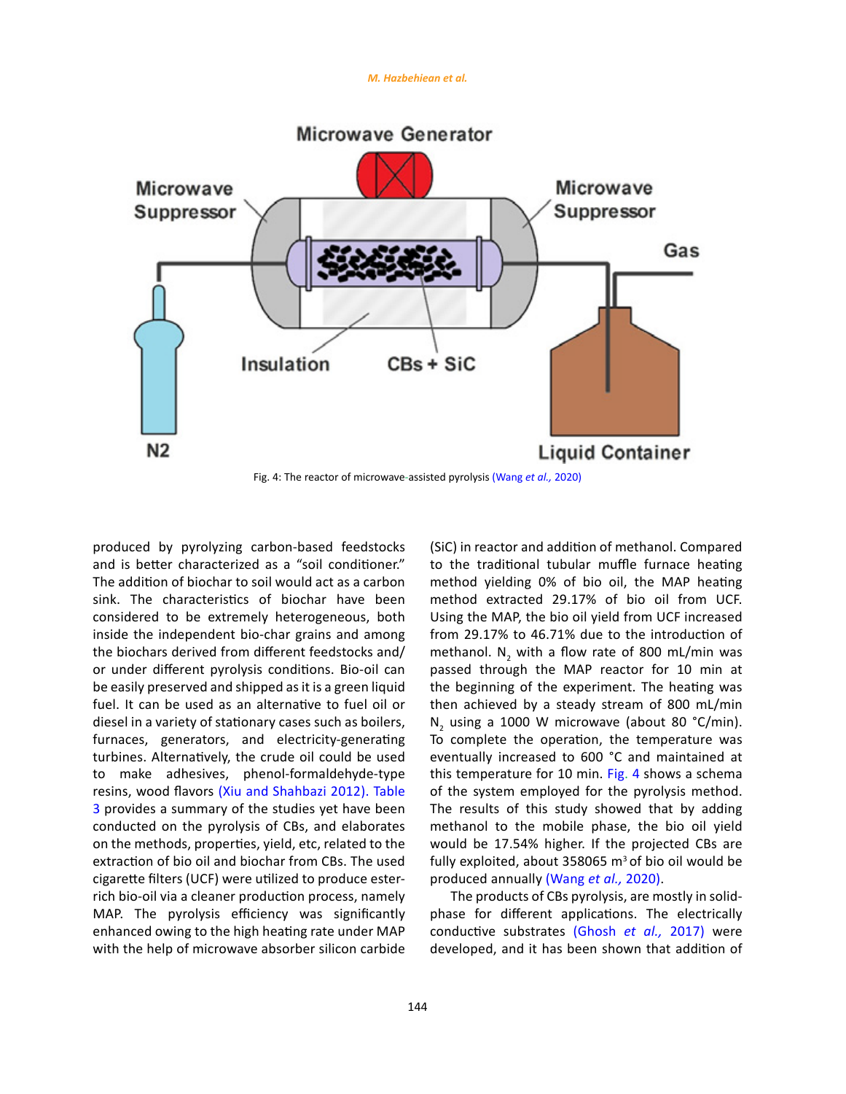#### *M. Hazbehiean et al.*



produced by pyrolyzing carbon-based feedstocks and is better characterized as a "soil conditioner." The addition of biochar to soil would act as a carbon sink. The characteristics of biochar have been considered to be extremely heterogeneous, both inside the independent bio-char grains and among the biochars derived from different feedstocks and/ or under different pyrolysis conditions. Bio-oil can be easily preserved and shipped as it is a green liquid fuel. It can be used as an alternative to fuel oil or diesel in a variety of stationary cases such as boilers, furnaces, generators, and electricity-generating turbines. Alternatively, the crude oil could be used to make adhesives, phenol-formaldehyde-type resins, wood flavors [\(Xiu and Shahbazi 2012\)](#page-13-0). Table 3 provides a summary of the studies yet have been conducted on the pyrolysis of CBs, and elaborates on the methods, properties, yield, etc, related to the extraction of bio oil and biochar from CBs. The used cigarette filters (UCF) were utilized to produce esterrich bio-oil via a cleaner production process, namely MAP. The pyrolysis efficiency was significantly enhanced owing to the high heating rate under MAP with the help of microwave absorber silicon carbide

(SiC) in reactor and addition of methanol. Compared to the traditional tubular muffle furnace heating method yielding 0% of bio oil, the MAP heating method extracted 29.17% of bio oil from UCF. Using the MAP, the bio oil yield from UCF increased from 29.17% to 46.71% due to the introduction of methanol.  $N_2$  with a flow rate of 800 mL/min was passed through the MAP reactor for 10 min at the beginning of the experiment. The heating was then achieved by a steady stream of 800 mL/min  $N_2$  using a 1000 W microwave (about 80 °C/min). To complete the operation, the temperature was eventually increased to 600 °C and maintained at this temperature for 10 min. Fig. 4 shows a schema of the system employed for the pyrolysis method. The results of this study showed that by adding methanol to the mobile phase, the bio oil yield would be 17.54% higher. If the projected CBs are fully exploited, about 358065  $m^3$  of bio oil would be produced annually [\(Wang](#page-13-0) *et al.,* 2020).

The products of CBs pyrolysis, are mostly in solidphase for different applications. The electrically conductive substrates [\(Ghosh](#page-13-0) *et al.,* 2017) were developed, and it has been shown that addition of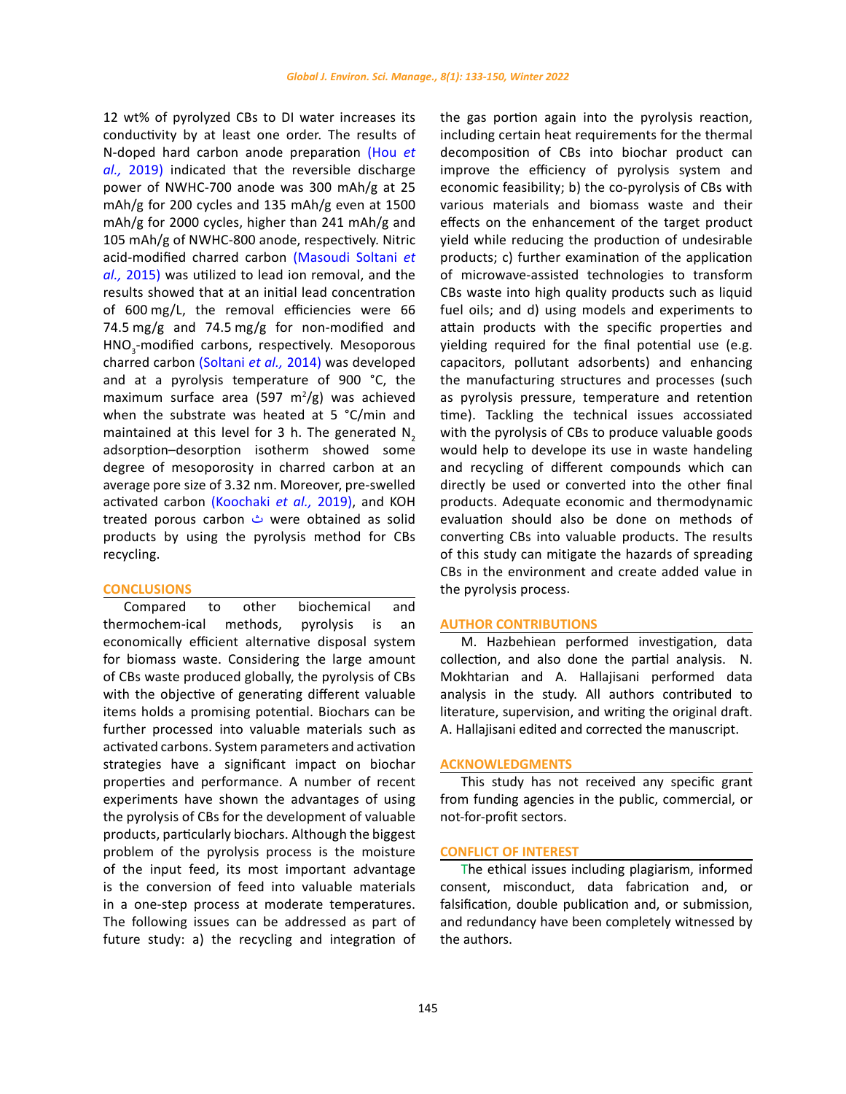12 wt% of pyrolyzed CBs to DI water increases its conductivity by at least one order. The results of N-doped hard carbon anode preparation [\(Hou](#page-13-0) *et al.,* [2019\)](#page-13-0) indicated that the reversible discharge power of NWHC-700 anode was 300 mAh/g at 25 mAh/g for 200 cycles and 135 mAh/g even at 1500 mAh/g for 2000 cycles, higher than 241 mAh/g and 105 mAh/g of NWHC-800 anode, respectively. Nitric acid-modified charred carbon [\(Masoudi Soltani](#page-13-0) *et al.,* [2015\)](#page-13-0) was utilized to lead ion removal, and the results showed that at an initial lead concentration of 600 mg/L, the removal efficiencies were 66 74.5 mg/g and 74.5 mg/g for non-modified and HNO<sub>3</sub>-modified carbons, respectively. Mesoporous charred carbon [\(Soltani](#page-13-0) *et al.,* 2014) was developed and at a pyrolysis temperature of 900 °C, the maximum surface area (597 m $^{2}/g$ ) was achieved when the substrate was heated at 5 °C/min and maintained at this level for 3 h. The generated  $N<sub>2</sub>$ adsorption–desorption isotherm showed some degree of mesoporosity in charred carbon at an average pore size of 3.32 nm. Moreover, pre-swelled activated carbon [\(Koochaki](#page-13-0) *et al.,* 2019), and KOH treated porous carbon ث were obtained as solid products by using the pyrolysis method for CBs recycling.

#### **CONCLUSIONS**

Compared to other biochemical and thermochem-ical methods, pyrolysis is an economically efficient alternative disposal system for biomass waste. Considering the large amount of CBs waste produced globally, the pyrolysis of CBs with the objective of generating different valuable items holds a promising potential. Biochars can be further processed into valuable materials such as activated carbons. System parameters and activation strategies have a significant impact on biochar properties and performance. A number of recent experiments have shown the advantages of using the pyrolysis of CBs for the development of valuable products, particularly biochars. Although the biggest problem of the pyrolysis process is the moisture of the input feed, its most important advantage is the conversion of feed into valuable materials in a one-step process at moderate temperatures. The following issues can be addressed as part of future study: a) the recycling and integration of the gas portion again into the pyrolysis reaction, including certain heat requirements for the thermal decomposition of CBs into biochar product can improve the efficiency of pyrolysis system and economic feasibility; b) the co-pyrolysis of CBs with various materials and biomass waste and their effects on the enhancement of the target product yield while reducing the production of undesirable products; c) further examination of the application of microwave-assisted technologies to transform CBs waste into high quality products such as liquid fuel oils; and d) using models and experiments to attain products with the specific properties and yielding required for the final potential use (e.g. capacitors, pollutant adsorbents) and enhancing the manufacturing structures and processes (such as pyrolysis pressure, temperature and retention time). Tackling the technical issues accossiated with the pyrolysis of CBs to produce valuable goods would help to develope its use in waste handeling and recycling of different compounds which can directly be used or converted into the other final products. Adequate economic and thermodynamic evaluation should also be done on methods of converting CBs into valuable products. The results of this study can mitigate the hazards of spreading CBs in the environment and create added value in the pyrolysis process.

### **AUTHOR CONTRIBUTIONS**

M. Hazbehiean performed investigation, data collection, and also done the partial analysis. N. Mokhtarian and A. Hallajisani performed data analysis in the study. All authors contributed to literature, supervision, and writing the original draft. A. Hallajisani edited and corrected the manuscript.

#### **ACKNOWLEDGMENTS**

This study has not received any specific grant from funding agencies in the public, commercial, or not-for-profit sectors.

### **CONFLICT OF INTEREST**

The ethical issues including plagiarism, informed consent, misconduct, data fabrication and, or falsification, double publication and, or submission, and redundancy have been completely witnessed by the authors.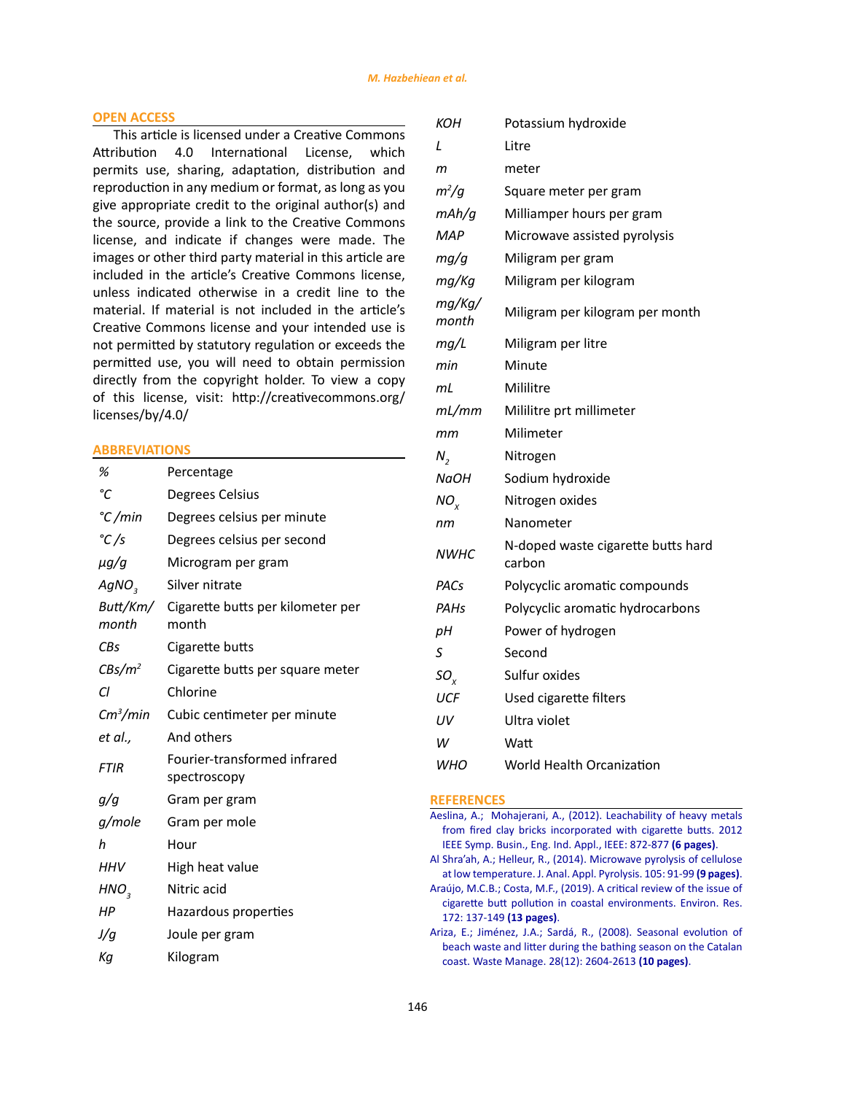## <span id="page-13-0"></span>**OPEN ACCESS**

This article is licensed under a Creative Commons Attribution 4.0 International License, which permits use, sharing, adaptation, distribution and reproduction in any medium or format, as long as you give appropriate credit to the original author(s) and the source, provide a link to the Creative Commons license, and indicate if changes were made. The images or other third party material in this article are included in the article's Creative Commons license, unless indicated otherwise in a credit line to the material. If material is not included in the article's Creative Commons license and your intended use is not permitted by statutory regulation or exceeds the permitted use, you will need to obtain permission directly from the copyright holder. To view a copy of this license, visit: [http://creativecommons.org/](http://creativecommons.org/licenses/by/4.0/ ) [licenses/by/4.0/](http://creativecommons.org/licenses/by/4.0/ )

## **ABBREVIATIONS**

| %                    | Percentage                                          |
|----------------------|-----------------------------------------------------|
| °C                   | Degrees Celsius                                     |
| $\degree$ C/min      | Degrees celsius per minute                          |
| °C/s                 | Degrees celsius per second                          |
| μg/g                 | Microgram per gram                                  |
| AgNO <sub>3</sub>    | Silver nitrate                                      |
| month                | Butt/Km/ Cigarette butts per kilometer per<br>month |
| CBs                  | Cigarette butts                                     |
| $CBs/m^2$            | Cigarette butts per square meter                    |
| Cl                   | Chlorine                                            |
| Cm <sup>3</sup> /min | Cubic centimeter per minute                         |
| et al.,              | And others                                          |
| <b>FTIR</b>          | Fourier-transformed infrared<br>spectroscopy        |
| g/g                  | Gram per gram                                       |
| g/mole               | Gram per mole                                       |
| h                    | Hour                                                |
| <b>HHV</b>           | High heat value                                     |
| HNO <sub>3</sub>     | Nitric acid                                         |
| НP                   | Hazardous properties                                |
| J/q                  | Joule per gram                                      |
| Кq                   | Kilogram                                            |

| кон             | Potassium hydroxide                          |
|-----------------|----------------------------------------------|
| L               | Litre                                        |
| m               | meter                                        |
| $m^2/g$         | Square meter per gram                        |
| mAh/g           | Milliamper hours per gram                    |
| MAP             | Microwave assisted pyrolysis                 |
| mg/g            | Miligram per gram                            |
| mg/Kg           | Miligram per kilogram                        |
| mg/Kg/<br>month | Miligram per kilogram per month              |
| mg/L            | Miligram per litre                           |
| min             | Minute                                       |
| mL              | Mililitre                                    |
| mL/mm           | Mililitre prt millimeter                     |
| mт              | Milimeter                                    |
| $N_{2}$         | Nitrogen                                     |
| NaOH            | Sodium hydroxide                             |
| NO.             | Nitrogen oxides                              |
| пm              | Nanometer                                    |
| <b>NWHC</b>     | N-doped waste cigarette butts hard<br>carbon |
| PACs            | Polycyclic aromatic compounds                |
| PAHs            | Polycyclic aromatic hydrocarbons             |
| pН              | Power of hydrogen                            |
| S               | Second                                       |
| $SO_{x}$        | Sulfur oxides                                |
| UCF             | Used cigarette filters                       |
| UV              | Ultra violet                                 |
| W               | Watt                                         |
| <b>WHO</b>      | World Health Orcanization                    |

#### **REFERENCES**

- [Aeslina, A.; Mohajerani, A., \(2012\). Leachability of heavy metals](https://ieeexplore.ieee.org/abstract/document/6423017) [from fired clay bricks incorporated with cigarette butts. 2012](https://ieeexplore.ieee.org/abstract/document/6423017) [IEEE Symp. Busin., Eng. Ind. Appl., IEEE: 872-877](https://ieeexplore.ieee.org/abstract/document/6423017) **(6 pages)**.
- [Al Shra'ah, A.; Helleur, R., \(2014\). Microwave pyrolysis of cellulose](https://www.sciencedirect.com/science/article/abs/pii/S0165237013002209) [at low temperature. J. Anal. Appl. Pyrolysis. 105: 91-99](https://www.sciencedirect.com/science/article/abs/pii/S0165237013002209) **(9 pages)**.
- [Araújo, M.C.B.; Costa, M.F., \(2019\). A critical review of the issue of](https://www.sciencedirect.com/science/article/abs/pii/S0013935119300787) [cigarette butt pollution in coastal environments. Environ. Res.](https://www.sciencedirect.com/science/article/abs/pii/S0013935119300787) [172: 137-149](https://www.sciencedirect.com/science/article/abs/pii/S0013935119300787) **(13 pages)**.
- [Ariza, E.; Jiménez, J.A.; Sardá, R., \(2008\). Seasonal evolution of](https://www.sciencedirect.com/science/article/abs/pii/S0956053X07004230) [beach waste and litter during the bathing season on the Catalan](https://www.sciencedirect.com/science/article/abs/pii/S0956053X07004230) [coast. Waste Manage. 28\(12\): 2604-2613](https://www.sciencedirect.com/science/article/abs/pii/S0956053X07004230) **(10 pages)**.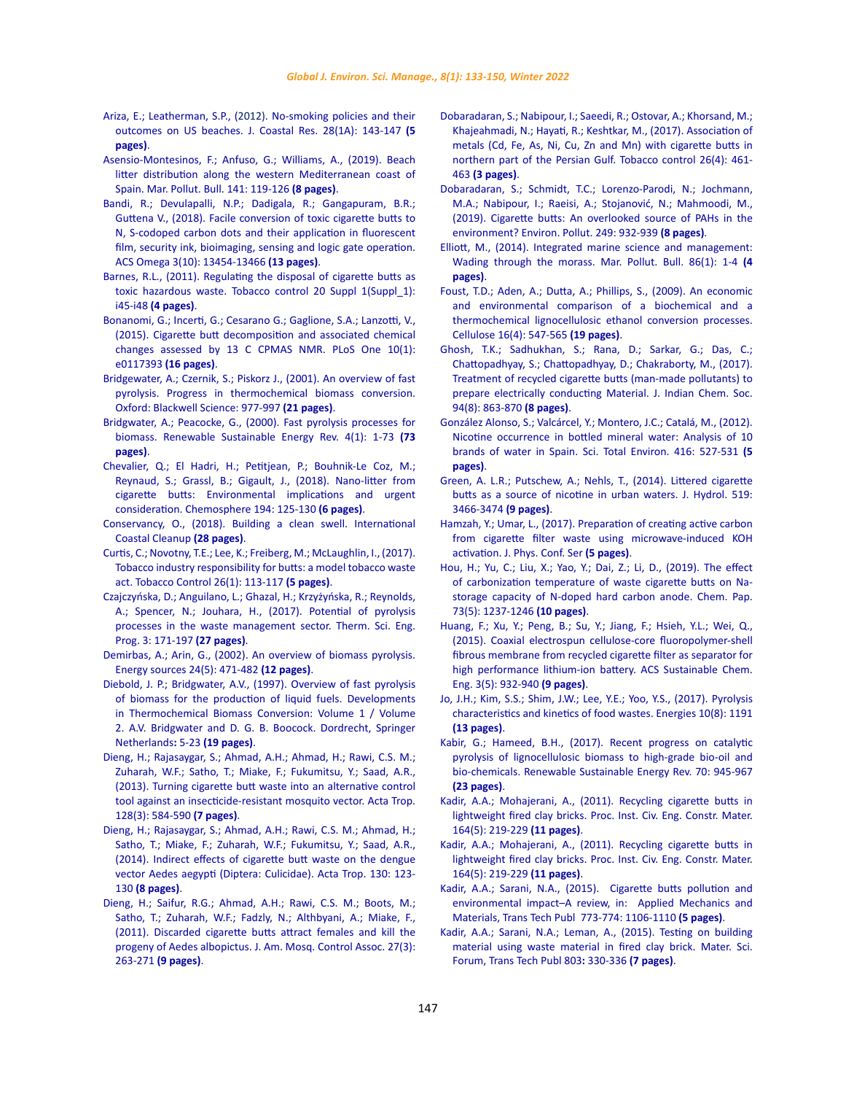Ariza, E.; Leatherman, S.P., (2012)[. No-smoking policies and their](https://meridian.allenpress.com/jcr/article-abstract/28/1A/143/27182)  [outcomes on US beaches. J. Coastal Res. 28\(1A\): 143-147](https://meridian.allenpress.com/jcr/article-abstract/28/1A/143/27182) **(5 [pages\)](https://meridian.allenpress.com/jcr/article-abstract/28/1A/143/27182)**.

[Asensio-Montesinos, F.; Anfuso, G.; Williams, A., \(2019\). Beach](https://www.sciencedirect.com/science/article/abs/pii/S0025326X19301201)  [litter distribution along the western Mediterranean coast of](https://www.sciencedirect.com/science/article/abs/pii/S0025326X19301201)  [Spain. Mar. Pollut. Bull. 141: 119-126](https://www.sciencedirect.com/science/article/abs/pii/S0025326X19301201) **(8 pages)**.

- [Bandi, R.; Devulapalli, N.P.; Dadigala, R.; Gangapuram, B.R.;](https://pubs.acs.org/doi/abs/10.1021/acsomega.8b01743)  [Guttena V., \(2018\). Facile conversion of toxic cigarette butts to](https://pubs.acs.org/doi/abs/10.1021/acsomega.8b01743)  [N, S-codoped carbon dots and their application in fluorescent](https://pubs.acs.org/doi/abs/10.1021/acsomega.8b01743)  [film, security ink, bioimaging, sensing and logic gate operation.](https://pubs.acs.org/doi/abs/10.1021/acsomega.8b01743)  [ACS Omega 3\(10\): 13454-13466](https://pubs.acs.org/doi/abs/10.1021/acsomega.8b01743) **(13 pages)**.
- [Barnes, R.L., \(2011\). Regulating the disposal of cigarette butts as](https://tobaccocontrol.bmj.com/content/20/Suppl_1/i45.short)  [toxic hazardous waste. Tobacco control 20 Suppl 1\(Suppl\\_1\):](https://tobaccocontrol.bmj.com/content/20/Suppl_1/i45.short)  i45-i48 **[\(4 pages\)](https://tobaccocontrol.bmj.com/content/20/Suppl_1/i45.short)**.
- [Bonanomi, G.; Incerti, G.; Cesarano G.; Gaglione, S.A.; Lanzotti, V.,](https://journals.plos.org/plosone/article?id=10.1371/journal.pone.0117393)  [\(2015\). Cigarette butt decomposition and associated chemical](https://journals.plos.org/plosone/article?id=10.1371/journal.pone.0117393)  [changes assessed by 13 C CPMAS NMR. PLoS One 10\(1\):](https://journals.plos.org/plosone/article?id=10.1371/journal.pone.0117393)  [e0117393](https://journals.plos.org/plosone/article?id=10.1371/journal.pone.0117393) **(16 pages)**.
- [Bridgewater, A.; Czernik, S.; Piskorz J., \(2001\). An overview of fast](https://books.google.com/books?hl=en&lr=&id=6QD69PvV0foC&oi=fnd&pg=PR1&dq=Progress+in+Thermochemical+Biomass+Conversion.+Oxford:+Blackwell+Science:+977-997+&ots=tqZJL5bbI5&sig=9Td33c4gVQDrBqUKXUx5INMpNVs#v=onepage&q&f=false)  [pyrolysis. Progress in thermochemical biomass conversion.](https://books.google.com/books?hl=en&lr=&id=6QD69PvV0foC&oi=fnd&pg=PR1&dq=Progress+in+Thermochemical+Biomass+Conversion.+Oxford:+Blackwell+Science:+977-997+&ots=tqZJL5bbI5&sig=9Td33c4gVQDrBqUKXUx5INMpNVs#v=onepage&q&f=false)  [Oxford: Blackwell Science: 977-997](https://books.google.com/books?hl=en&lr=&id=6QD69PvV0foC&oi=fnd&pg=PR1&dq=Progress+in+Thermochemical+Biomass+Conversion.+Oxford:+Blackwell+Science:+977-997+&ots=tqZJL5bbI5&sig=9Td33c4gVQDrBqUKXUx5INMpNVs#v=onepage&q&f=false) **(21 pages)**.
- [Bridgwater, A.; Peacocke, G., \(2000\). Fast pyrolysis processes for](https://www.sciencedirect.com/science/article/abs/pii/S1364032199000076)  [biomass. Renewable Sustainable Energy Rev. 4\(1\): 1-73](https://www.sciencedirect.com/science/article/abs/pii/S1364032199000076) **(73 [pages\)](https://www.sciencedirect.com/science/article/abs/pii/S1364032199000076)**.
- [Chevalier, Q.; El Hadri, H.; Petitjean, P.; Bouhnik-Le Coz, M.;](https://www.sciencedirect.com/science/article/abs/pii/S0045653517319355)  [Reynaud, S.; Grassl, B.; Gigault, J., \(2018\). Nano-litter from](https://www.sciencedirect.com/science/article/abs/pii/S0045653517319355)  [cigarette butts: Environmental implications and urgent](https://www.sciencedirect.com/science/article/abs/pii/S0045653517319355)  [consideration. Chemosphere](https://www.sciencedirect.com/science/article/abs/pii/S0045653517319355) 194: 125-130 **(6 pages)**.
- [Conservancy, O., \(2018\). Building a clean swell. International](https://oceanconservancy.org/wp-content/uploads/2018/07/Building-A-Clean-Swell.pdf)  [Coastal Cleanup](https://oceanconservancy.org/wp-content/uploads/2018/07/Building-A-Clean-Swell.pdf) **(28 pages)**.
- [Curtis, C.; Novotny, T.E.; Lee, K.; Freiberg, M.; McLaughlin, I., \(2017\).](https://tobaccocontrol.bmj.com/content/26/1/113.short)  [Tobacco industry responsibility for butts: a model tobacco waste](https://tobaccocontrol.bmj.com/content/26/1/113.short)  [act. Tobacco Control](https://tobaccocontrol.bmj.com/content/26/1/113.short) 26(1): 113-117 **(5 pages)**.
- Czajczyńska, D.; Anguilano, L.; Ghazal, H.; Krzyżyńska, R.; Reynolds, A.; Spencer, N.; Jouhara, H., (2017). Potential of pyrolysis processes in the waste management sector. Therm. Sci. Eng. Prog. 3: 171-197 **(27 pages)**.
- [Demirbas, A.; Arin, G., \(2002\). An overview of biomass pyrolysis.](https://www.tandfonline.com/doi/abs/10.1080/00908310252889979)  [Energy sources 24\(5\): 471-482](https://www.tandfonline.com/doi/abs/10.1080/00908310252889979) **(12 pages)**.
- [Diebold, J. P.; Bridgwater, A.V., \(1997\). Overview of fast pyrolysis](https://link.springer.com/chapter/10.1007/978-94-009-1559-6_1)  [of biomass for the production of liquid fuels. Developments](https://link.springer.com/chapter/10.1007/978-94-009-1559-6_1)  [in Thermochemical Biomass Conversion: Volume 1 / Volume](https://link.springer.com/chapter/10.1007/978-94-009-1559-6_1)  [2. A.V. Bridgwater and D. G. B. Boocock. Dordrecht, Springer](https://link.springer.com/chapter/10.1007/978-94-009-1559-6_1)  [Netherlands](https://link.springer.com/chapter/10.1007/978-94-009-1559-6_1)**:** 5-23 **(19 pages)**.
- Dieng, H.; Rajasaygar, S.; Ahmad, A.H.; Ahmad, H.; Rawi, C.S. M.; Zuharah, W.F.; Satho, T.; Miake, F.; Fukumitsu, Y.; Saad, A.R., (2013). Turning cigarette butt waste into an alternative control tool against an insecticide-resistant mosquito vector. Acta Trop. 128(3): 584-590 **(7 pages)**.
- [Dieng, H.; Rajasaygar, S.; Ahmad, A.H.; Rawi, C.S. M.; Ahmad, H.;](https://www.sciencedirect.com/science/article/abs/pii/S0001706X13003240)  [Satho, T.; Miake, F.; Zuharah, W.F.; Fukumitsu, Y.; Saad, A.R.,](https://www.sciencedirect.com/science/article/abs/pii/S0001706X13003240)  [\(2014\). Indirect effects of cigarette butt waste on the dengue](https://www.sciencedirect.com/science/article/abs/pii/S0001706X13003240)  [vector Aedes aegypti \(Diptera: Culicidae\). Acta Trop. 130: 123-](https://www.sciencedirect.com/science/article/abs/pii/S0001706X13003240) 130 **[\(8 pages\)](https://www.sciencedirect.com/science/article/abs/pii/S0001706X13003240)**.
- [Dieng, H.; Saifur, R.G.; Ahmad, A.H.; Rawi, C.S. M.; Boots, M.;](https://bioone.org/journals/journal-of-the-american-mosquito-control-association/volume-27/issue-3/11-6124.1/Discarded-Cigarette-Butts-Attract-Females-and-Kill-the-Progeny-of/10.2987/11-6124.1.short)  [Satho, T.; Zuharah, W.F.; Fadzly, N.; Althbyani, A.; Miake, F.,](https://bioone.org/journals/journal-of-the-american-mosquito-control-association/volume-27/issue-3/11-6124.1/Discarded-Cigarette-Butts-Attract-Females-and-Kill-the-Progeny-of/10.2987/11-6124.1.short)  [\(2011\). Discarded cigarette butts attract females and kill the](https://bioone.org/journals/journal-of-the-american-mosquito-control-association/volume-27/issue-3/11-6124.1/Discarded-Cigarette-Butts-Attract-Females-and-Kill-the-Progeny-of/10.2987/11-6124.1.short)  [progeny of Aedes albopictus. J. Am. Mosq. Control Assoc.](https://bioone.org/journals/journal-of-the-american-mosquito-control-association/volume-27/issue-3/11-6124.1/Discarded-Cigarette-Butts-Attract-Females-and-Kill-the-Progeny-of/10.2987/11-6124.1.short) 27(3): 263-271 **[\(9 pages\)](https://bioone.org/journals/journal-of-the-american-mosquito-control-association/volume-27/issue-3/11-6124.1/Discarded-Cigarette-Butts-Attract-Females-and-Kill-the-Progeny-of/10.2987/11-6124.1.short)**.
- [Dobaradaran, S.; Nabipour, I.; Saeedi, R.; Ostovar, A.; Khorsand, M.;](https://tobaccocontrol.bmj.com/content/26/4/461.short) [Khajeahmadi, N.; Hayati, R.; Keshtkar, M., \(2017\). Association of](https://tobaccocontrol.bmj.com/content/26/4/461.short) [metals \(Cd, Fe, As, Ni, Cu, Zn and Mn\) with cigarette butts in](https://tobaccocontrol.bmj.com/content/26/4/461.short) [northern part of the Persian Gulf. Tobacco control 26\(4\): 461-](https://tobaccocontrol.bmj.com/content/26/4/461.short) 463 **[\(3 pages\)](https://tobaccocontrol.bmj.com/content/26/4/461.short)**.
- [Dobaradaran, S.; Schmidt, T.C.; Lorenzo-Parodi, N.; Jochmann,](https://www.sciencedirect.com/science/article/abs/pii/S0269749119302295) [M.A.; Nabipour, I.; Raeisi, A.; Stojanović, N.; Mahmoodi, M.,](https://www.sciencedirect.com/science/article/abs/pii/S0269749119302295) [\(2019\). Cigarette butts: An overlooked source of PAHs in the](https://www.sciencedirect.com/science/article/abs/pii/S0269749119302295) [environment? Environ. Pollut. 249: 932-939](https://www.sciencedirect.com/science/article/abs/pii/S0269749119302295) **(8 pages)**.
- [Elliott, M., \(2014\). Integrated marine science and management:](https://europepmc.org/article/med/25091733) [Wading through the morass. Mar. Pollut. Bull. 86\(1\): 1-4](https://europepmc.org/article/med/25091733) **(4 [pages\)](https://europepmc.org/article/med/25091733)**.
- [Foust, T.D.; Aden, A.; Dutta, A.; Phillips, S., \(2009\). An economic](https://link.springer.com/article/10.1007/s10570-009-9317-x) [and environmental comparison of a biochemical and a](https://link.springer.com/article/10.1007/s10570-009-9317-x) [thermochemical lignocellulosic ethanol conversion processes.](https://link.springer.com/article/10.1007/s10570-009-9317-x) [Cellulose 16\(4\): 547-565](https://link.springer.com/article/10.1007/s10570-009-9317-x) **(19 pages)**.
- [Ghosh, T.K.; Sadhukhan, S.; Rana, D.; Sarkar, G.; Das, C.;](https://research.caluniv.ac.in/publication/treatment-of-recycled-cigarette-butts-man-made-pollutants) [Chattopadhyay, S.; Chattopadhyay, D.; Chakraborty, M., \(2017\).](https://research.caluniv.ac.in/publication/treatment-of-recycled-cigarette-butts-man-made-pollutants) [Treatment of recycled cigarette butts \(man-made pollutants\) to](https://research.caluniv.ac.in/publication/treatment-of-recycled-cigarette-butts-man-made-pollutants) [prepare electrically conducting Material. J. Indian Chem. Soc.](https://research.caluniv.ac.in/publication/treatment-of-recycled-cigarette-butts-man-made-pollutants) [94\(8\): 863-870](https://research.caluniv.ac.in/publication/treatment-of-recycled-cigarette-butts-man-made-pollutants) **(8 pages)**.
- [González Alonso, S.; Valcárcel, Y.; Montero, J.C.; Catalá, M., \(2012\).](https://www.sciencedirect.com/science/article/abs/pii/S004896971101360X) [Nicotine occurrence in bottled mineral water: Analysis of 10](https://www.sciencedirect.com/science/article/abs/pii/S004896971101360X) [brands of water in Spain. Sci. Total Environ. 416: 527-531](https://www.sciencedirect.com/science/article/abs/pii/S004896971101360X) **(5 [pages\)](https://www.sciencedirect.com/science/article/abs/pii/S004896971101360X)**.
- [Green, A. L.R.; Putschew, A.; Nehls, T., \(2014\). Littered cigarette](https://www.sciencedirect.com/science/article/pii/S0022169414004107) [butts as a source of nicotine in urban waters. J. Hydrol. 519:](https://www.sciencedirect.com/science/article/pii/S0022169414004107) [3466-3474](https://www.sciencedirect.com/science/article/pii/S0022169414004107) **(9 pages)**.
- [Hamzah, Y.; Umar, L., \(2017\). Preparation of creating active carbon](https://iopscience.iop.org/article/10.1088/1742-6596/853/1/012027/meta) [from cigarette filter waste using microwave-induced KOH](https://iopscience.iop.org/article/10.1088/1742-6596/853/1/012027/meta) [activation. J. Phys. Conf. Ser](https://iopscience.iop.org/article/10.1088/1742-6596/853/1/012027/meta) **(5 pages)**.
- [Hou, H.; Yu, C.; Liu, X.; Yao, Y.; Dai, Z.; Li, D., \(2019\). The effect](https://link.springer.com/article/10.1007/s11696-018-00674-w) [of carbonization temperature of waste cigarette butts on Na](https://link.springer.com/article/10.1007/s11696-018-00674-w)[storage capacity of N-doped hard carbon anode. Chem. Pap.](https://link.springer.com/article/10.1007/s11696-018-00674-w) [73\(5\): 1237-1246](https://link.springer.com/article/10.1007/s11696-018-00674-w) **(10 pages)**.
- [Huang, F.; Xu, Y.; Peng, B.; Su, Y.; Jiang, F.; Hsieh, Y.L.; Wei, Q.,](https://pubs.acs.org/doi/abs/10.1021/acssuschemeng.5b00032) [\(2015\). Coaxial electrospun cellulose-core fluoropolymer-shell](https://pubs.acs.org/doi/abs/10.1021/acssuschemeng.5b00032) [fibrous membrane from recycled cigarette filter as separator for](https://pubs.acs.org/doi/abs/10.1021/acssuschemeng.5b00032) [high performance lithium-ion battery. ACS Sustainable Chem.](https://pubs.acs.org/doi/abs/10.1021/acssuschemeng.5b00032) [Eng. 3\(5\): 932-940](https://pubs.acs.org/doi/abs/10.1021/acssuschemeng.5b00032) **(9 pages)**.
- [Jo, J.H.; Kim, S.S.; Shim, J.W.; Lee, Y.E.; Yoo, Y.S., \(2017\). Pyrolysis](https://www.mdpi.com/1996-1073/10/8/1191) [characteristics and kinetics of food wastes. Energies 10\(8\): 1191](https://www.mdpi.com/1996-1073/10/8/1191) **[\(13 pages\)](https://www.mdpi.com/1996-1073/10/8/1191)**.
- [Kabir, G.; Hameed, B.H., \(2017\). Recent progress on catalytic](https://www.sciencedirect.com/science/article/abs/pii/S1364032116310589) [pyrolysis of lignocellulosic biomass to high-grade bio-oil and](https://www.sciencedirect.com/science/article/abs/pii/S1364032116310589) [bio-chemicals. Renewable Sustainable Energy Rev. 70: 945-967](https://www.sciencedirect.com/science/article/abs/pii/S1364032116310589) **[\(23 pages\)](https://www.sciencedirect.com/science/article/abs/pii/S1364032116310589)**.
- [Kadir, A.A.; Mohajerani, A., \(2011\). Recycling cigarette butts in](https://www.icevirtuallibrary.com/doi/abs/10.1680/coma.900013) [lightweight fired clay bricks. Proc. Inst. Civ. Eng. Constr. Mater.](https://www.icevirtuallibrary.com/doi/abs/10.1680/coma.900013) [164\(5\): 219-229](https://www.icevirtuallibrary.com/doi/abs/10.1680/coma.900013) **(11 pages)**.
- [Kadir, A.A.; Mohajerani, A., \(2011\). Recycling cigarette butts in](https://www.icevirtuallibrary.com/doi/abs/10.1680/coma.900013) [lightweight fired clay bricks. Proc. Inst. Civ. Eng. Constr. Mater.](https://www.icevirtuallibrary.com/doi/abs/10.1680/coma.900013) [164\(5\): 219-229](https://www.icevirtuallibrary.com/doi/abs/10.1680/coma.900013) **(11 pages)**.
- [Kadir, A.A.; Sarani, N.A., \(2015\). Cigarette butts pollution and](https://www.scientific.net/AMM.773-774.1106.pdf) [environmental impact–A review, in: Applied Mechanics and](https://www.scientific.net/AMM.773-774.1106.pdf) [Materials, Trans Tech Publ 773-774: 1106-1110](https://www.scientific.net/AMM.773-774.1106.pdf) **(5 pages)**.
- [Kadir, A.A.; Sarani, N.A.; Leman, A., \(2015\). Testing on building](https://www.scientific.net/MSF.803.330) [material using waste material in fired clay brick. Mater. Sci.](https://www.scientific.net/MSF.803.330) [Forum, Trans Tech Publ 803](https://www.scientific.net/MSF.803.330)**:** 330-336 **(7 pages)**.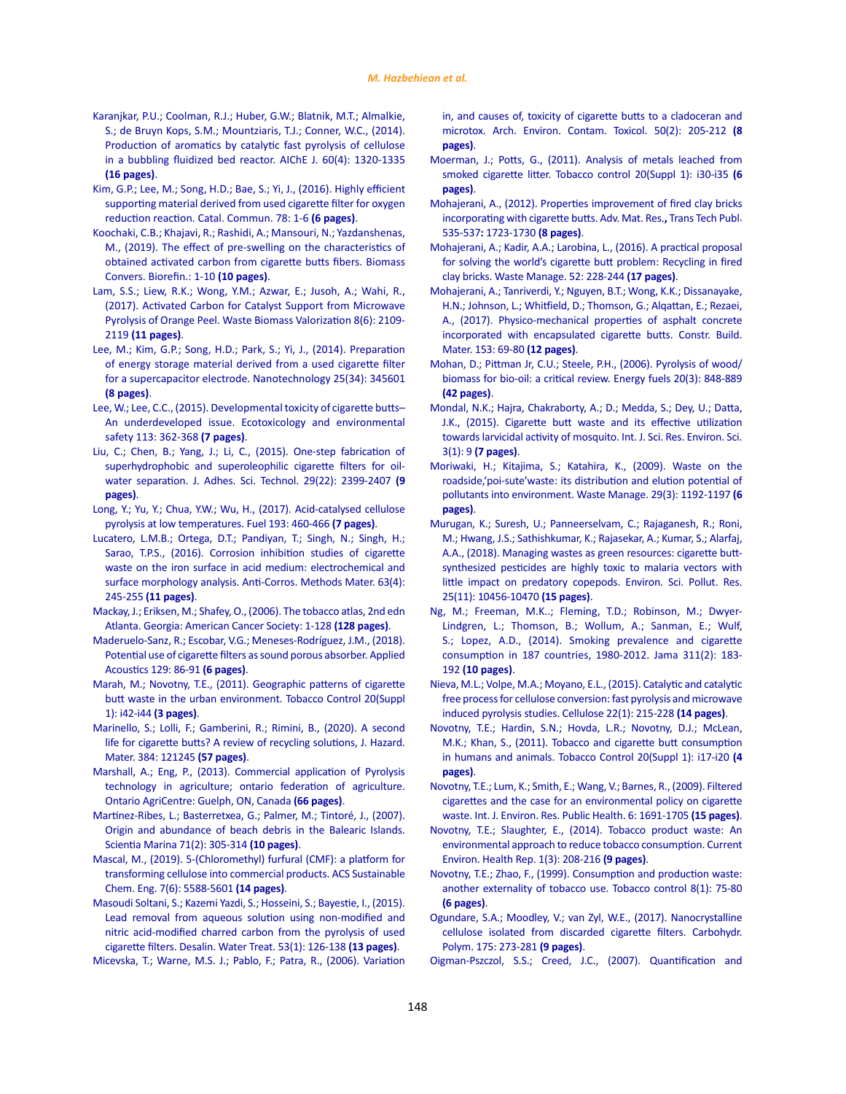- [Karanjkar, P.U.; Coolman, R.J.; Huber, G.W.; Blatnik, M.T.; Almalkie,](https://aiche.onlinelibrary.wiley.com/doi/abs/10.1002/aic.14376)  [S.; de Bruyn Kops, S.M.; Mountziaris, T.J.; Conner, W.C., \(2014\).](https://aiche.onlinelibrary.wiley.com/doi/abs/10.1002/aic.14376)  [Production of aromatics by catalytic fast pyrolysis of cellulose](https://aiche.onlinelibrary.wiley.com/doi/abs/10.1002/aic.14376)  [in a bubbling fluidized bed reactor. AIChE J. 60\(4\): 1320-1335](https://aiche.onlinelibrary.wiley.com/doi/abs/10.1002/aic.14376)  **[\(16 pages\)](https://aiche.onlinelibrary.wiley.com/doi/abs/10.1002/aic.14376)**.
- [Kim, G.P.; Lee, M.; Song, H.D.; Bae, S.; Yi, J., \(2016\). Highly efficient](https://www.sciencedirect.com/science/article/abs/pii/S1566736716300310)  [supporting material derived from used cigarette filter for oxygen](https://www.sciencedirect.com/science/article/abs/pii/S1566736716300310)  [reduction reaction. Catal. Commun. 78: 1-6](https://www.sciencedirect.com/science/article/abs/pii/S1566736716300310) **(6 pages)**.
- Koochaki, C.B.; Khajavi, R.; Rashidi, A.; Mansouri, N.; Yazdanshenas, M., (2019). The effect of pre-swelling on the characteristics of obtained activated carbon from cigarette butts fibers. Biomass Convers. Biorefin.: 1-10 **(10 pages)**.
- [Lam, S.S.; Liew, R.K.; Wong, Y.M.; Azwar, E.; Jusoh, A.; Wahi, R.,](https://link.springer.com/article/10.1007/s12649-016-9804-x)  [\(2017\). Activated Carbon for Catalyst Support from Microwave](https://link.springer.com/article/10.1007/s12649-016-9804-x)  [Pyrolysis of Orange Peel. Waste Biomass Valorization 8\(6\): 2109-](https://link.springer.com/article/10.1007/s12649-016-9804-x) 2119 **[\(11 pages\)](https://link.springer.com/article/10.1007/s12649-016-9804-x)**.
- [Lee, M.; Kim, G.P.; Song, H.D.; Park, S.; Yi, J., \(2014\). Preparation](https://iopscience.iop.org/article/10.1088/0957-4484/25/34/345601/meta)  [of energy storage material derived from a used cigarette filter](https://iopscience.iop.org/article/10.1088/0957-4484/25/34/345601/meta)  [for a supercapacitor electrode. Nanotechnology 25\(34\): 345601](https://iopscience.iop.org/article/10.1088/0957-4484/25/34/345601/meta)  **[\(8 pages\)](https://iopscience.iop.org/article/10.1088/0957-4484/25/34/345601/meta)**.
- [Lee, W.; Lee, C.C., \(2015\). Developmental toxicity of cigarette butts–](https://www.sciencedirect.com/science/article/abs/pii/S0147651314005739) [An underdeveloped issue. Ecotoxicology and environmental](https://www.sciencedirect.com/science/article/abs/pii/S0147651314005739)  [safety 113: 362-368](https://www.sciencedirect.com/science/article/abs/pii/S0147651314005739) **(7 pages)**.
- [Liu, C.; Chen, B.; Yang, J.; Li, C., \(2015\). One-step fabrication of](https://www.tandfonline.com/doi/abs/10.1080/01694243.2015.1062653)  [superhydrophobic and superoleophilic cigarette filters for oil](https://www.tandfonline.com/doi/abs/10.1080/01694243.2015.1062653)[water separation. J. Adhes. Sci. Technol. 29\(22\): 2399-2407](https://www.tandfonline.com/doi/abs/10.1080/01694243.2015.1062653) **(9 [pages\)](https://www.tandfonline.com/doi/abs/10.1080/01694243.2015.1062653)**.
- [Long, Y.; Yu, Y.; Chua, Y.W.; Wu, H., \(2017\). Acid-catalysed cellulose](https://www.sciencedirect.com/science/article/abs/pii/S0016236116312996)  [pyrolysis at low temperatures. Fuel 193: 460-466](https://www.sciencedirect.com/science/article/abs/pii/S0016236116312996) **(7 pages)**.
- [Lucatero, L.M.B.; Ortega, D.T.; Pandiyan, T.; Singh, N.; Singh, H.;](https://www.emerald.com/insight/content/doi/10.1108/ACMM-05-2014-1384/full/html)  [Sarao, T.P.S., \(2016\). Corrosion inhibition studies of cigarette](https://www.emerald.com/insight/content/doi/10.1108/ACMM-05-2014-1384/full/html)  [waste on the iron surface in acid medium: electrochemical and](https://www.emerald.com/insight/content/doi/10.1108/ACMM-05-2014-1384/full/html)  [surface morphology analysis. Anti-Corros. Methods Mater. 63\(4\):](https://www.emerald.com/insight/content/doi/10.1108/ACMM-05-2014-1384/full/html)  245-255 **[\(11 pages\)](https://www.emerald.com/insight/content/doi/10.1108/ACMM-05-2014-1384/full/html)**.
- [Mackay, J.; Eriksen, M.; Shafey, O., \(2006\). The tobacco atlas, 2nd edn](https://books.google.com/books/about/The_Tobacco_Atlas.html?id=3bqXQgAACAAJ)  [Atlanta. Georgia: American Cancer Society: 1-128](https://books.google.com/books/about/The_Tobacco_Atlas.html?id=3bqXQgAACAAJ) **(128 pages)**.
- [Maderuelo-Sanz, R.; Escobar, V.G.; Meneses-Rodríguez, J.M., \(2018\).](https://www.sciencedirect.com/science/article/abs/pii/S0003682X17306217)  [Potential use of cigarette filters as sound porous absorber. Applied](https://www.sciencedirect.com/science/article/abs/pii/S0003682X17306217)  [Acoustics 129: 86-91](https://www.sciencedirect.com/science/article/abs/pii/S0003682X17306217) **(6 pages)**.
- [Marah, M.; Novotny, T.E., \(2011\). Geographic patterns of cigarette](https://tobaccocontrol.bmj.com/content/20/Suppl_1/i42.short)  [butt waste in the urban environment. Tobacco Control 20\(Suppl](https://tobaccocontrol.bmj.com/content/20/Suppl_1/i42.short)  [1\): i42-i44](https://tobaccocontrol.bmj.com/content/20/Suppl_1/i42.short) **(3 pages)**.
- [Marinello, S.; Lolli, F.; Gamberini, R.; Rimini, B., \(2020\). A second](https://www.sciencedirect.com/science/article/abs/pii/S0304389419311999)  [life for cigarette butts? A review of recycling solutions, J. Hazard.](https://www.sciencedirect.com/science/article/abs/pii/S0304389419311999)  Mater. [384: 121245](https://www.sciencedirect.com/science/article/abs/pii/S0304389419311999) **(57 pages)**.
- [Marshall, A.; Eng, P., \(2013\). Commercial application of Pyrolysis](https://docplayer.net/21159272-Commercial-application-of-pyrolysis-technology-in-agriculture.html)  [technology in agriculture; ontario federation of agriculture.](https://docplayer.net/21159272-Commercial-application-of-pyrolysis-technology-in-agriculture.html)  [Ontario AgriCentre: Guelph, ON, Canada](https://docplayer.net/21159272-Commercial-application-of-pyrolysis-technology-in-agriculture.html) **(66 pages)**.
- [Martinez-Ribes, L.; Basterretxea, G.; Palmer, M.; Tintoré, J., \(2007\).](https://digital.csic.es/handle/10261/5901)  [Origin and abundance of beach debris in the Balearic Islands.](https://digital.csic.es/handle/10261/5901)  [Scientia Marina 71\(2\): 305-314](https://digital.csic.es/handle/10261/5901) **(10 pages)**.
- [Mascal, M., \(2019\). 5-\(Chloromethyl\) furfural \(CMF\): a platform for](https://pubs.acs.org/doi/abs/10.1021/acssuschemeng.8b06553)  [transforming cellulose into commercial products. ACS Sustainable](https://pubs.acs.org/doi/abs/10.1021/acssuschemeng.8b06553)  [Chem. Eng. 7\(6\): 5588-5601](https://pubs.acs.org/doi/abs/10.1021/acssuschemeng.8b06553) **(14 pages)**.
- [Masoudi Soltani, S.; Kazemi Yazdi, S.; Hosseini, S.; Bayestie, I., \(2015\).](https://www.tandfonline.com/doi/abs/10.1080/19443994.2013.835751)  [Lead removal from aqueous solution using non-modified and](https://www.tandfonline.com/doi/abs/10.1080/19443994.2013.835751)  [nitric acid-modified charred carbon from the pyrolysis of used](https://www.tandfonline.com/doi/abs/10.1080/19443994.2013.835751)  [cigarette filters. Desalin. Water Treat.](https://www.tandfonline.com/doi/abs/10.1080/19443994.2013.835751) 53(1): 126-138 **(13 pages)**.
- [Micevska, T.; Warne, M.S. J.; Pablo, F.; Patra, R., \(2006\). Variation](https://link.springer.com/article/10.1007/s00244-004-0132-y)

[in, and causes of, toxicity of cigarette butts to a cladoceran and](https://link.springer.com/article/10.1007/s00244-004-0132-y) [microtox. Arch. Environ. Contam. Toxicol.](https://link.springer.com/article/10.1007/s00244-004-0132-y) 50(2): 205-212 **(8 [pages\)](https://link.springer.com/article/10.1007/s00244-004-0132-y)**.

- [Moerman, J.; Potts, G., \(2011\). Analysis of metals leached from](https://tobaccocontrol.bmj.com/content/20/Suppl_1/i30?int_source=trendmd&int_medium=trendmd&int_campaign=trendmd) [smoked cigarette litter. Tobacco control 20\(Suppl 1\): i30-i35](https://tobaccocontrol.bmj.com/content/20/Suppl_1/i30?int_source=trendmd&int_medium=trendmd&int_campaign=trendmd) **(6 [pages\)](https://tobaccocontrol.bmj.com/content/20/Suppl_1/i30?int_source=trendmd&int_medium=trendmd&int_campaign=trendmd)**.
- [Mohajerani, A., \(2012\). Properties improvement of fired clay bricks](https://www.scientific.net/amr.535-537.1723) [incorporating with cigarette butts. Adv. Mat. Res.](https://www.scientific.net/amr.535-537.1723)**,** Trans Tech Publ. 535-537**:** [1723-1730](https://www.scientific.net/amr.535-537.1723) **(8 pages)**.
- [Mohajerani, A.; Kadir, A.A.; Larobina, L., \(2016\). A practical proposal](https://www.sciencedirect.com/science/article/abs/pii/S0956053X16300988) [for solving the world's cigarette butt problem: Recycling in fired](https://www.sciencedirect.com/science/article/abs/pii/S0956053X16300988) [clay bricks. Waste Manage.](https://www.sciencedirect.com/science/article/abs/pii/S0956053X16300988) 52: 228-244 **(17 pages)**.
- [Mohajerani, A.; Tanriverdi, Y.; Nguyen, B.T.; Wong, K.K.; Dissanayake,](https://www.sciencedirect.com/science/article/abs/pii/S0950061817314241) [H.N.; Johnson, L.; Whitfield, D.; Thomson, G.; Alqattan, E.; Rezaei,](https://www.sciencedirect.com/science/article/abs/pii/S0950061817314241) [A., \(2017\). Physico-mechanical properties of asphalt concrete](https://www.sciencedirect.com/science/article/abs/pii/S0950061817314241) [incorporated with encapsulated cigarette butts. Constr. Build.](https://www.sciencedirect.com/science/article/abs/pii/S0950061817314241) Mater. [153: 69-80](https://www.sciencedirect.com/science/article/abs/pii/S0950061817314241) **(12 pages)**.
- [Mohan, D.; Pittman Jr, C.U.; Steele, P.H., \(2006\). Pyrolysis of wood/](https://pubs.acs.org/doi/abs/10.1021/ef0502397) [biomass for bio-oil: a critical review. Energy fuels 20\(3\): 848-889](https://pubs.acs.org/doi/abs/10.1021/ef0502397) **[\(42 pages\)](https://pubs.acs.org/doi/abs/10.1021/ef0502397)**.
- [Mondal, N.K.; Hajra, Chakraborty, A.; D.; Medda, S.; Dey, U.; Datta,](https://www.researchgate.net/profile/Uttiya-Dey-2/publication/274254841_Cigarette_Butt_Waste_and_Its_Effective_Utilization_towards_Larvicidal_Activity_of_Mosquito/links/59fc17bda6fdcca1f2931cdf/Cigarette-Butt-Waste-and-Its-Effective-Utilization-towards-Larvicidal-Activity-of-Mosquito.pdf) [J.K., \(2015\). Cigarette butt waste and its effective utilization](https://www.researchgate.net/profile/Uttiya-Dey-2/publication/274254841_Cigarette_Butt_Waste_and_Its_Effective_Utilization_towards_Larvicidal_Activity_of_Mosquito/links/59fc17bda6fdcca1f2931cdf/Cigarette-Butt-Waste-and-Its-Effective-Utilization-towards-Larvicidal-Activity-of-Mosquito.pdf) [towards larvicidal activity of mosquito. Int. J. Sci. Res. Environ. Sci.](https://www.researchgate.net/profile/Uttiya-Dey-2/publication/274254841_Cigarette_Butt_Waste_and_Its_Effective_Utilization_towards_Larvicidal_Activity_of_Mosquito/links/59fc17bda6fdcca1f2931cdf/Cigarette-Butt-Waste-and-Its-Effective-Utilization-towards-Larvicidal-Activity-of-Mosquito.pdf) 3(1): 9 **[\(7 pages\)](https://www.researchgate.net/profile/Uttiya-Dey-2/publication/274254841_Cigarette_Butt_Waste_and_Its_Effective_Utilization_towards_Larvicidal_Activity_of_Mosquito/links/59fc17bda6fdcca1f2931cdf/Cigarette-Butt-Waste-and-Its-Effective-Utilization-towards-Larvicidal-Activity-of-Mosquito.pdf)**.
- [Moriwaki, H.; Kitajima, S.; Katahira, K., \(2009\). Waste on the](https://www.sciencedirect.com/science/article/abs/pii/S0956053X08002882) [roadside,'poi-sute'waste: its distribution and elution potential of](https://www.sciencedirect.com/science/article/abs/pii/S0956053X08002882) [pollutants into environment. Waste Manage.](https://www.sciencedirect.com/science/article/abs/pii/S0956053X08002882) 29(3): 1192-1197 **(6 [pages\)](https://www.sciencedirect.com/science/article/abs/pii/S0956053X08002882)**.
- [Murugan, K.; Suresh, U.; Panneerselvam, C.; Rajaganesh, R.; Roni,](https://link.springer.com/article/10.1007/s11356-017-0074-3) [M.; Hwang, J.S.; Sathishkumar, K.; Rajasekar, A.; Kumar, S.; Alarfaj,](https://link.springer.com/article/10.1007/s11356-017-0074-3) [A.A., \(2018\). Managing wastes as green resources: cigarette butt](https://link.springer.com/article/10.1007/s11356-017-0074-3)[synthesized pesticides are highly toxic to malaria vectors with](https://link.springer.com/article/10.1007/s11356-017-0074-3) [little impact on predatory copepods. Environ. Sci. Pollut. Res.](https://link.springer.com/article/10.1007/s11356-017-0074-3) [25\(11\): 10456-10470](https://link.springer.com/article/10.1007/s11356-017-0074-3) **(15 pages)**.
- [Ng, M.; Freeman, M.K..; Fleming, T.D.; Robinson, M.; Dwyer-](https://jamanetwork.com/journals/jama/article-abstract/1812960)[Lindgren, L.; Thomson, B.; Wollum, A.; Sanman, E.; Wulf,](https://jamanetwork.com/journals/jama/article-abstract/1812960) [S.; Lopez, A.D., \(2014\). Smoking prevalence and cigarette](https://jamanetwork.com/journals/jama/article-abstract/1812960) [consumption in 187 countries, 1980-2012. Jama 311\(2\): 183-](https://jamanetwork.com/journals/jama/article-abstract/1812960) 192 **[\(10 pages\)](https://jamanetwork.com/journals/jama/article-abstract/1812960)**.
- Nieva, M.L.; Volpe, M.A.; Moyano, E.L., (2015). Catalytic and catalytic free process for cellulose conversion: fast pyrolysis and microwave induced pyrolysis studies. Cellulose 22(1): 215-228 **(14 pages)**.
- [Novotny, T.E.; Hardin, S.N.; Hovda, L.R.; Novotny, D.J.; McLean,](https://tobaccocontrol.bmj.com/content/20/Suppl_1/i17.short) [M.K.; Khan, S., \(2011\). Tobacco and cigarette butt consumption](https://tobaccocontrol.bmj.com/content/20/Suppl_1/i17.short) [in humans and animals. Tobacco Control 20\(Suppl 1\): i17-i20](https://tobaccocontrol.bmj.com/content/20/Suppl_1/i17.short) **(4 [pages\)](https://tobaccocontrol.bmj.com/content/20/Suppl_1/i17.short)**.
- [Novotny, T.E.; Lum, K.; Smith, E.; Wang, V.; Barnes, R., \(2009\). Filtered](https://www.mdpi.com/1660-4601/6/5/1691) [cigarettes and the case for an environmental policy on cigarette](https://www.mdpi.com/1660-4601/6/5/1691) [waste. Int. J. Environ. Res. Public Health. 6: 1691-1705](https://www.mdpi.com/1660-4601/6/5/1691) **(15 pages)**.
- [Novotny, T.E.; Slaughter, E., \(2014\). Tobacco product waste: An](https://link.springer.com/article/10.1007/s40572-014-0016-x) [environmental approach to reduce tobacco consumption. Current](https://link.springer.com/article/10.1007/s40572-014-0016-x) [Environ. Health Rep. 1\(3\): 208-216](https://link.springer.com/article/10.1007/s40572-014-0016-x) **(9 pages)**.
- [Novotny, T.E.; Zhao, F., \(1999\). Consumption and production waste:](https://tobaccocontrol.bmj.com/content/8/1/75.short) [another externality of tobacco use. Tobacco control 8\(1\): 75-80](https://tobaccocontrol.bmj.com/content/8/1/75.short) **[\(6 pages\)](https://tobaccocontrol.bmj.com/content/8/1/75.short)**.
- [Ogundare, S.A.; Moodley, V.; van Zyl, W.E., \(2017\). Nanocrystalline](https://www.sciencedirect.com/science/article/abs/pii/S0144861717308743) [cellulose isolated from discarded cigarette filters. Carbohydr.](https://www.sciencedirect.com/science/article/abs/pii/S0144861717308743) [Polym. 175: 273-281](https://www.sciencedirect.com/science/article/abs/pii/S0144861717308743) **(9 pages)**.
- [Oigman-Pszczol, S.S.; Creed, J.C., \(2007\). Quantification and](https://meridian.allenpress.com/jcr/article-abstract/23/2 (232)/421/215572)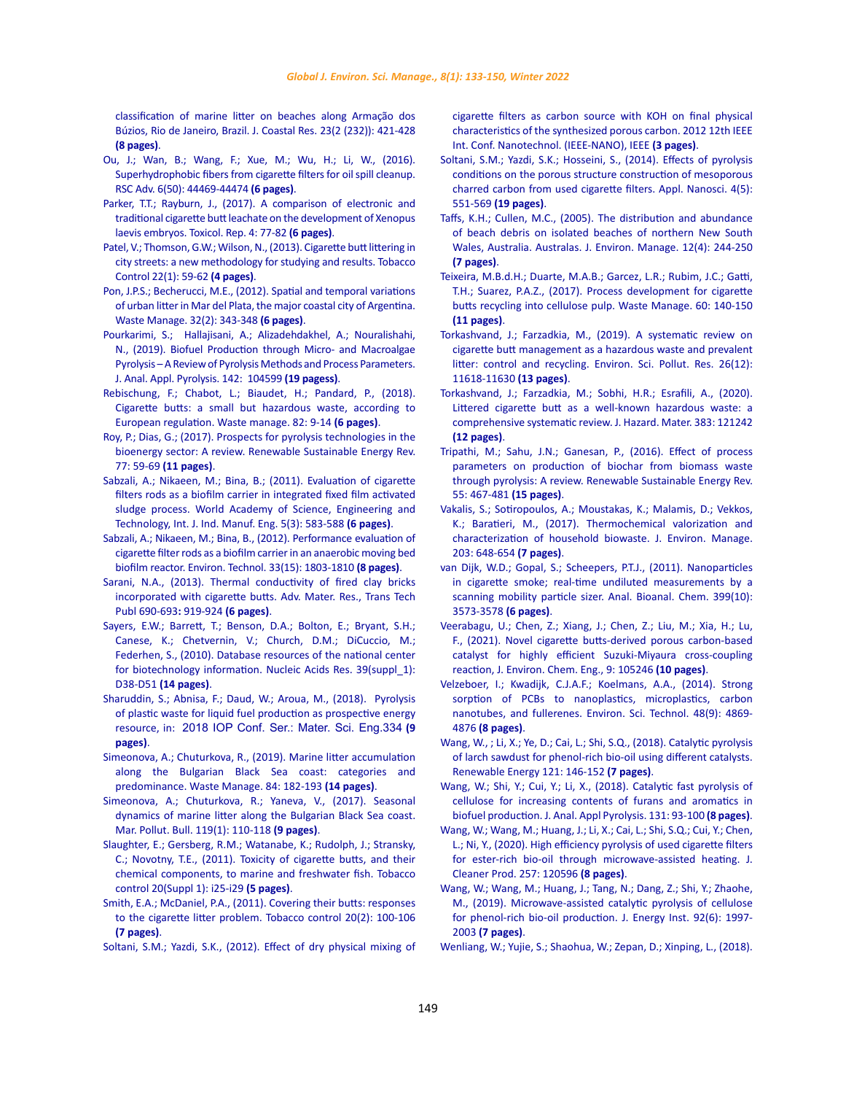[classification of marine litter on beaches along Armação dos](https://meridian.allenpress.com/jcr/article-abstract/23/2 (232)/421/215572)  [Búzios, Rio de Janeiro, Brazil. J. Coastal Res.](https://meridian.allenpress.com/jcr/article-abstract/23/2 (232)/421/215572) 23(2 (232)): 421-428 **[\(8 pages\)](https://meridian.allenpress.com/jcr/article-abstract/23/2 (232)/421/215572)**.

- [Ou, J.; Wan, B.; Wang, F.; Xue, M.; Wu, H.; Li, W., \(2016\).](https://pubs.rsc.org/--/content/articlelanding/2016/ra/c6ra01303a/unauth#!divAbstract)  [Superhydrophobic fibers from cigarette filters for oil spill cleanup.](https://pubs.rsc.org/--/content/articlelanding/2016/ra/c6ra01303a/unauth#!divAbstract)  [RSC Adv. 6\(50\): 44469-44474](https://pubs.rsc.org/--/content/articlelanding/2016/ra/c6ra01303a/unauth#!divAbstract) **(6 pages)**.
- Parker, T.T.; Rayburn, J., (2017). A comparison of electronic and [traditional cigarette butt leachate on the development of Xenopus](https://www.sciencedirect.com/science/article/pii/S2214750017300033)  [laevis embryos. Toxicol. Rep. 4: 77-82](https://www.sciencedirect.com/science/article/pii/S2214750017300033) **(6 pages)**.
- [Patel, V.; Thomson, G.W.; Wilson, N., \(2013\). Cigarette butt littering in](https://tobaccocontrol.bmj.com/content/22/1/59.short)  [city streets: a new methodology for studying and results. Tobacco](https://tobaccocontrol.bmj.com/content/22/1/59.short)  [Control 22\(1\): 59-62](https://tobaccocontrol.bmj.com/content/22/1/59.short) **(4 pages)**.
- [Pon, J.P.S.; Becherucci, M.E., \(2012\). Spatial and temporal variations](https://www.sciencedirect.com/science/article/abs/pii/S0956053X11004715)  [of urban litter in Mar del Plata, the major coastal city of Argentina.](https://www.sciencedirect.com/science/article/abs/pii/S0956053X11004715)  [Waste Manage. 32\(2\): 343-348](https://www.sciencedirect.com/science/article/abs/pii/S0956053X11004715) **(6 pages)**.
- [Pourkarimi, S.; Hallajisani, A.; Alizadehdakhel, A.; Nouralishahi,](https://www.sciencedirect.com/science/article/abs/pii/S0165237018312014)  [N., \(2019\). Biofuel Production through Micro- and Macroalgae](https://www.sciencedirect.com/science/article/abs/pii/S0165237018312014)  [Pyrolysis – A Review of Pyrolysis Methods and Process Parameters.](https://www.sciencedirect.com/science/article/abs/pii/S0165237018312014)  [J. Anal. Appl. Pyrolysis.](https://www.sciencedirect.com/science/article/abs/pii/S0165237018312014) 142: 104599 **(19 pagess)**.
- [Rebischung, F.; Chabot, L.; Biaudet, H.; Pandard, P., \(2018\).](https://www.sciencedirect.com/science/article/abs/pii/S0956053X18305798)  [Cigarette butts: a small but hazardous waste, according to](https://www.sciencedirect.com/science/article/abs/pii/S0956053X18305798)  [European regulation. Waste manage. 82: 9-14](https://www.sciencedirect.com/science/article/abs/pii/S0956053X18305798) **(6 pages)**.
- [Roy, P.; Dias, G.; \(2017\). Prospects for pyrolysis technologies in the](https://www.sciencedirect.com/science/article/abs/pii/S1364032117304719)  [bioenergy sector: A review. Renewable Sustainable Energy Rev.](https://www.sciencedirect.com/science/article/abs/pii/S1364032117304719) 77: 59-69 **[\(11 pages\)](https://www.sciencedirect.com/science/article/abs/pii/S1364032117304719)**.
- [Sabzali, A.; Nikaeen, M.; Bina, B.; \(2011\). Evaluation of cigarette](https://publications.waset.org/7934/pdf)  [filters rods as a biofilm carrier in integrated fixed film activated](https://publications.waset.org/7934/pdf)  [sludge process. World Academy of Science, Engineering and](https://publications.waset.org/7934/pdf)  [Technology, Int. J. Ind. Manuf. Eng. 5\(3\): 583-588](https://publications.waset.org/7934/pdf) **(6 pages)**.
- [Sabzali, A.; Nikaeen, M.; Bina, B., \(2012\). Performance evaluation of](https://iahr.tandfonline.com/doi/abs/10.1080/09593330.2011.646317)  [cigarette filter rods as a biofilm carrier in an anaerobic moving bed](https://iahr.tandfonline.com/doi/abs/10.1080/09593330.2011.646317)  [biofilm reactor. Environ. Technol.](https://iahr.tandfonline.com/doi/abs/10.1080/09593330.2011.646317) 33(15): 1803-1810 **(8 pages)**.
- [Sarani, N.A., \(2013\). Thermal conductivity of fired clay bricks](https://www.scientific.net/AMR.690-693.919)  [incorporated with cigarette butts. Adv. Mater. Res., Trans Tech](https://www.scientific.net/AMR.690-693.919)  [Publ 690-693](https://www.scientific.net/AMR.690-693.919)**:** 919-924 **(6 pages)**.
- [Sayers, E.W.; Barrett, T.; Benson, D.A.; Bolton, E.; Bryant, S.H.;](https://academic.oup.com/nar/article/39/suppl_1/D38/2507520)  [Canese, K.; Chetvernin, V.; Church, D.M.; DiCuccio, M.;](https://academic.oup.com/nar/article/39/suppl_1/D38/2507520)  [Federhen, S., \(2010\). Database resources of the national center](https://academic.oup.com/nar/article/39/suppl_1/D38/2507520)  [for biotechnology information. Nucleic Acids Res. 39\(suppl\\_1\):](https://academic.oup.com/nar/article/39/suppl_1/D38/2507520)  D38-D51 **[\(14 pages\)](https://academic.oup.com/nar/article/39/suppl_1/D38/2507520)**.
- [Sharuddin, S.; Abnisa, F.; Daud, W.; Aroua, M., \(2018\). Pyrolysis](https://iopscience.iop.org/article/10.1088/1757-899X/334/1/012001/meta)  [of plastic waste for liquid fuel production as prospective energy](https://iopscience.iop.org/article/10.1088/1757-899X/334/1/012001/meta)  resource, in: [2018 IOP Conf. Ser.: Mater. Sci. Eng.334](https://iopscience.iop.org/article/10.1088/1757-899X/334/1/012001/meta) **(9 [pages\)](https://iopscience.iop.org/article/10.1088/1757-899X/334/1/012001/meta)**.
- [Simeonova, A.; Chuturkova, R., \(2019\). Marine litter accumulation](https://www.sciencedirect.com/science/article/abs/pii/S0956053X18306640)  [along the Bulgarian Black Sea coast: categories and](https://www.sciencedirect.com/science/article/abs/pii/S0956053X18306640)  [predominance. Waste Manage. 84: 182-193](https://www.sciencedirect.com/science/article/abs/pii/S0956053X18306640) **(14 pages)**.
- [Simeonova, A.; Chuturkova, R.; Yaneva, V., \(2017\). Seasonal](https://www.sciencedirect.com/science/article/abs/pii/S0025326X17302539)  [dynamics of marine litter along the Bulgarian Black Sea coast.](https://www.sciencedirect.com/science/article/abs/pii/S0025326X17302539)  [Mar. Pollut. Bull. 119\(1\): 110-118](https://www.sciencedirect.com/science/article/abs/pii/S0025326X17302539) **(9 pages)**.
- [Slaughter, E.; Gersberg, R.M.; Watanabe, K.; Rudolph, J.; Stransky,](https://tobaccocontrol.bmj.com/content/20/Suppl_1/i25?utm_source=TrendMD&utm_medium=cpc&utm_campaign=TC_TrendMD-0)  [C.; Novotny, T.E., \(2011\). Toxicity of cigarette butts, and their](https://tobaccocontrol.bmj.com/content/20/Suppl_1/i25?utm_source=TrendMD&utm_medium=cpc&utm_campaign=TC_TrendMD-0)  [chemical components, to marine and freshwater fish. Tobacco](https://tobaccocontrol.bmj.com/content/20/Suppl_1/i25?utm_source=TrendMD&utm_medium=cpc&utm_campaign=TC_TrendMD-0)  [control 20\(Suppl 1\): i25-i29](https://tobaccocontrol.bmj.com/content/20/Suppl_1/i25?utm_source=TrendMD&utm_medium=cpc&utm_campaign=TC_TrendMD-0) **(5 pages)**.
- [Smith, E.A.; McDaniel, P.A., \(2011\). Covering their butts: responses](https://tobaccocontrol.bmj.com/content/20/2/100.short)  [to the cigarette litter problem. Tobacco control 20\(2\): 100-106](https://tobaccocontrol.bmj.com/content/20/2/100.short)  **[\(7 pages\)](https://tobaccocontrol.bmj.com/content/20/2/100.short)**.
- [Soltani, S.M.; Yazdi, S.K., \(2012\). Effect of dry physical mixing of](https://ieeexplore.ieee.org/abstract/document/6321914/)

[cigarette filters as carbon source with KOH on final physical](https://ieeexplore.ieee.org/abstract/document/6321914/) [characteristics of the synthesized porous carbon. 2012 12th IEEE](https://ieeexplore.ieee.org/abstract/document/6321914/) [Int. Conf. Nanotechnol. \(IEEE-NANO\), IEEE](https://ieeexplore.ieee.org/abstract/document/6321914/) **(3 pages)**.

- Soltani, S.M.; Yazdi, S.K.; Hosseini, S., (2014). Effects of pyrolysis conditions on the porous structure construction of mesoporous charred carbon from used cigarette filters. Appl. Nanosci. 4(5): 551-569 **(19 pages)**.
- [Taffs, K.H.; Cullen, M.C., \(2005\). The distribution and abundance](https://www.tandfonline.com/doi/abs/10.1080/14486563.2005.10648655) [of beach debris on isolated beaches of northern New South](https://www.tandfonline.com/doi/abs/10.1080/14486563.2005.10648655) [Wales, Australia. Australas. J. Environ. Manage.](https://www.tandfonline.com/doi/abs/10.1080/14486563.2005.10648655) 12(4): 244-250 **[\(7 pages\)](https://www.tandfonline.com/doi/abs/10.1080/14486563.2005.10648655)**.
- [Teixeira, M.B.d.H.; Duarte, M.A.B.; Garcez, L.R.; Rubim, J.C.; Gatti,](https://www.sciencedirect.com/science/article/abs/pii/S0956053X16305682) [T.H.; Suarez, P.A.Z., \(2017\). Process development for cigarette](https://www.sciencedirect.com/science/article/abs/pii/S0956053X16305682) [butts recycling into cellulose pulp. Waste Manage. 60: 140-150](https://www.sciencedirect.com/science/article/abs/pii/S0956053X16305682) **[\(11 pages\)](https://www.sciencedirect.com/science/article/abs/pii/S0956053X16305682)**.
- [Torkashvand, J.; Farzadkia, M., \(2019\). A systematic review on](https://link.springer.com/article/10.1007/s11356-019-04250-x) [cigarette butt management as a hazardous waste and prevalent](https://link.springer.com/article/10.1007/s11356-019-04250-x) [litter: control and recycling. Environ. Sci. Pollut. Res. 26\(12\):](https://link.springer.com/article/10.1007/s11356-019-04250-x) [11618-11630](https://link.springer.com/article/10.1007/s11356-019-04250-x) **(13 pages)**.
- [Torkashvand, J.; Farzadkia, M.; Sobhi, H.R.; Esrafili, A., \(2020\).](https://www.sciencedirect.com/science/article/abs/pii/S0304389419311963) [Littered cigarette butt as a well-known hazardous waste: a](https://www.sciencedirect.com/science/article/abs/pii/S0304389419311963) [comprehensive systematic review. J. Hazard. Mater.](https://www.sciencedirect.com/science/article/abs/pii/S0304389419311963) 383: 121242 **[\(12 pages\)](https://www.sciencedirect.com/science/article/abs/pii/S0304389419311963)**.
- [Tripathi, M.; Sahu, J.N.; Ganesan, P., \(2016\). Effect of process](https://www.sciencedirect.com/science/article/abs/pii/S1364032115012010) [parameters on production of biochar from biomass waste](https://www.sciencedirect.com/science/article/abs/pii/S1364032115012010) [through pyrolysis: A review. Renewable Sustainable Energy Rev.](https://www.sciencedirect.com/science/article/abs/pii/S1364032115012010) [55: 467-481](https://www.sciencedirect.com/science/article/abs/pii/S1364032115012010) **(15 pages)**.
- [Vakalis, S.; Sotiropoulos, A.; Moustakas, K.; Malamis, D.; Vekkos,](https://www.sciencedirect.com/science/article/pii/S0301479716301803) [K.; Baratieri, M., \(2017\). Thermochemical valorization and](https://www.sciencedirect.com/science/article/pii/S0301479716301803) [characterization of household biowaste. J. Environ. Manage.](https://www.sciencedirect.com/science/article/pii/S0301479716301803) [203: 648-654](https://www.sciencedirect.com/science/article/pii/S0301479716301803) **(7 pages)**.
- [van Dijk, W.D.; Gopal, S.; Scheepers, P.T.J., \(2011\). Nanoparticles](https://link.springer.com/article/10.1007/s00216-011-4701-4) [in cigarette smoke; real-time undiluted measurements by a](https://link.springer.com/article/10.1007/s00216-011-4701-4) [scanning mobility particle sizer. Anal. Bioanal. Chem.](https://link.springer.com/article/10.1007/s00216-011-4701-4) 399(10): [3573-3578](https://link.springer.com/article/10.1007/s00216-011-4701-4) **(6 pages)**.
- [Veerabagu, U.; Chen, Z.; Xiang, J.; Chen, Z.; Liu, M.; Xia, H.; Lu,](https://www.sciencedirect.com/science/article/abs/pii/S2213343721002232) [F., \(2021\). Novel cigarette butts-derived porous carbon-based](https://www.sciencedirect.com/science/article/abs/pii/S2213343721002232) [catalyst for highly efficient Suzuki-Miyaura cross-coupling](https://www.sciencedirect.com/science/article/abs/pii/S2213343721002232) [reaction, J. Environ. Chem. Eng., 9: 105246](https://www.sciencedirect.com/science/article/abs/pii/S2213343721002232) **(10 pages)**.
- [Velzeboer, I.; Kwadijk, C.J.A.F.; Koelmans, A.A., \(2014\). Strong](https://pubs.acs.org/doi/abs/10.1021/es405721v) [sorption of PCBs to nanoplastics, microplastics, carbon](https://pubs.acs.org/doi/abs/10.1021/es405721v) [nanotubes, and fullerenes. Environ. Sci. Technol.](https://pubs.acs.org/doi/abs/10.1021/es405721v) 48(9): 4869- 4876 **[\(8 pages\)](https://pubs.acs.org/doi/abs/10.1021/es405721v)**.
- [Wang, W., ; Li, X.; Ye, D.; Cai, L.; Shi, S.Q., \(2018\). Catalytic pyrolysis](https://www.sciencedirect.com/science/article/abs/pii/S0960148118300181) [of larch sawdust for phenol-rich bio-oil using different catalysts.](https://www.sciencedirect.com/science/article/abs/pii/S0960148118300181) [Renewable Energy 121: 146-152](https://www.sciencedirect.com/science/article/abs/pii/S0960148118300181) **(7 pages)**.
- [Wang, W.; Shi, Y.; Cui, Y.; Li, X., \(2018\). Catalytic fast pyrolysis of](https://www.sciencedirect.com/science/article/abs/pii/S0165237017309725) [cellulose for increasing contents of furans and aromatics in](https://www.sciencedirect.com/science/article/abs/pii/S0165237017309725) [biofuel production. J. Anal. Appl Pyrolysis.](https://www.sciencedirect.com/science/article/abs/pii/S0165237017309725) 131: 93-100 **(8 pages)**.
- [Wang, W.; Wang, M.; Huang, J.; Li, X.; Cai, L.; Shi, S.Q.; Cui, Y.; Chen,](https://www.sciencedirect.com/science/article/abs/pii/S0959652620306430) [L.; Ni, Y., \(2020\). High efficiency pyrolysis of used cigarette filters](https://www.sciencedirect.com/science/article/abs/pii/S0959652620306430) [for ester-rich bio-oil through microwave-assisted heating. J.](https://www.sciencedirect.com/science/article/abs/pii/S0959652620306430) [Cleaner Prod. 257: 120596](https://www.sciencedirect.com/science/article/abs/pii/S0959652620306430) **(8 pages)**.
- Wang, W.; Wang, M.; Huang, J.; Tang, N.; Dang, Z.; Shi, Y.; Zhaohe, M., (2019). Microwave-assisted catalytic pyrolysis of cellulose for phenol-rich bio-oil production. J. Energy Inst. 92(6): 1997- 2003 **(7 pages)**.
- [Wenliang, W.; Yujie, S.; Shaohua, W.; Zepan, D.; Xinping, L., \(2018\).](http://www.cjcu.jlu.edu.cn/EN/10.7503/cjcu20170717)